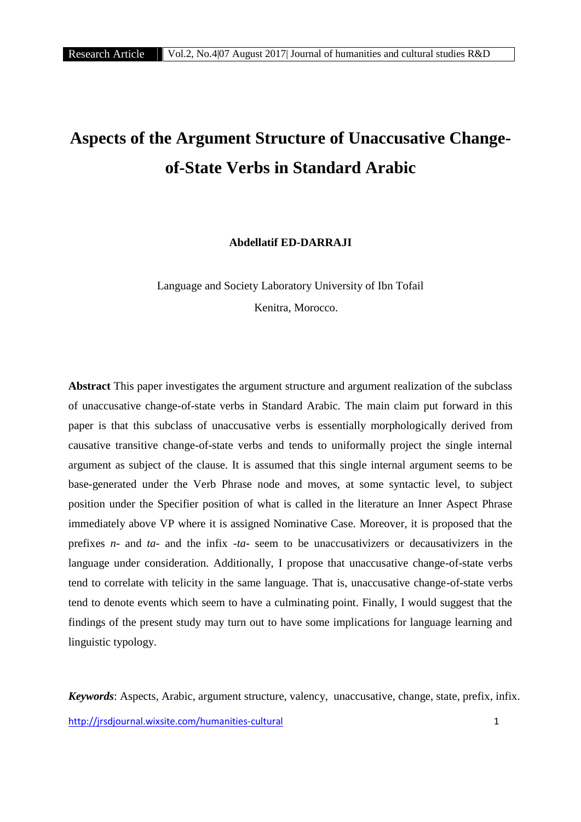# **Aspects of the Argument Structure of Unaccusative Change of-State Verbs in Standard Arabic**

**Abdellatif ED-DARRAJI**

Language and Society Laboratory University of Ibn Tofail Kenitra, Morocco.

**Abstract** This paper investigates the argument structure and argument realization of the subclass of unaccusative change-of-state verbs in Standard Arabic. The main claim put forward in this paper is that this subclass of unaccusative verbs is essentially morphologically derived from causative transitive change-of-state verbs and tends to uniformally project the single internal argument as subject of the clause. It is assumed that this single internal argument seems to be base-generated under the Verb Phrase node and moves, at some syntactic level, to subject position under the Specifier position of what is called in the literature an Inner Aspect Phrase immediately above VP where it is assigned Nominative Case. Moreover, it is proposed that the prefixes *n-* and *ta-* and the infix *-ta-* seem to be unaccusativizers or decausativizers in the language under consideration. Additionally, I propose that unaccusative change-of-state verbs tend to correlate with telicity in the same language. That is, unaccusative change-of-state verbs tend to denote events which seem to have a culminating point. Finally, I would suggest that the findings of the present study may turn out to have some implications for language learning and linguistic typology.

http://jrsdjournal.wixsite.com/humanities-cultural 1 *Keywords*: Aspects, Arabic, argument structure, valency, unaccusative, change, state, prefix, infix.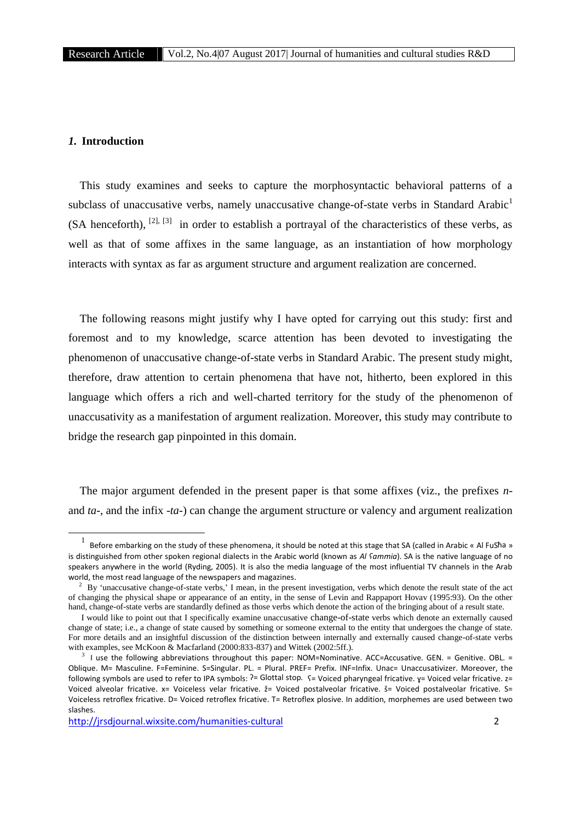## *1.* **Introduction**

This study examines and seeks to capture the morphosyntactic behavioral patterns of a subclass of unaccusative verbs, namely unaccusative change-of-state verbs in Standard Arabic<sup>1</sup>  $(SA$  henceforth),  $[2]$ ,  $[3]$  in order to establish a portrayal of the characteristics of these verbs, as well as that of some affixes in the same language, as an instantiation of how morphology interacts with syntax as far as argument structure and argument realization are concerned.

The following reasons might justify why I have opted for carrying out this study: first and foremost and to my knowledge, scarce attention has been devoted to investigating the phenomenon of unaccusative change-of-state verbs in Standard Arabic. The present study might, therefore, draw attention to certain phenomena that have not, hitherto, been explored in this language which offers a rich and well-charted territory for the study of the phenomenon of unaccusativity as a manifestation of argument realization. Moreover, this study may contribute to bridge the research gap pinpointed in this domain.

The major argument defended in the present paper is that some affixes (viz., the prefixes *n* and *ta-*, and the infix *-ta*-) can change the argument structure or valency and argument realization

 $1$  Before embarking on the study of these phenomena, it should be noted at this stage that SA (called in Arabic « Al FuSħa » is distinguished from other spoken regional dialects in the Arabic world (known as *Al ʕammia*). SA is the native language of no speakers anywhere in the world (Ryding, 2005). It is also the media language of the most influential TV channels in the Arab world, the most read language of the newspapers and magazines.<br><sup>2</sup> By 'unaccusative change-of-state verbs,' I mean, in the present investigation, verbs which denote the result state of the act

of changing the physical shape or appearance of an entity, in the sense of Levin and Rappaport Hovav (1995:93). On the other hand, change-of-state verbs are standardly defined as those verbs which denote the action of the bringing about of a result state.

I would like to point out that I specifically examine unaccusative change-of-state verbs which denote an externally caused change of state; i.e., a change of state caused by something or someone external to the entity that undergoes the change of state. For more details and an insightful discussion of the distinction between internally and externally caused change-of-state verbs with examples, see McKoon & Macfarland (2000:833-837) and Wittek (2002:5ff.).

 $3$  I use the following abbreviations throughout this paper: NOM=Nominative. ACC=Accusative. GEN. = Genitive. OBL. = Oblique. M= Masculine. F=Feminine. S=Singular. PL. = Plural. PREF= Prefix. INF=Infix. Unac= Unaccusativizer. Moreover, the following symbols are used to refer to IPA symbols:  $?=$  Glottal stop.  $\varsigma =$  Voiced pharyngeal fricative.  $\chi =$  Voiced velar fricative.  $z =$ Voiced alveolar fricative. x= Voiceless velar fricative. ž= Voiced postalveolar fricative. š= Voiced postalveolar fricative. S= Voiceless retroflex fricative. D= Voiced retroflex fricative. T= Retroflex plosive. In addition, morphemes are used between two slashes.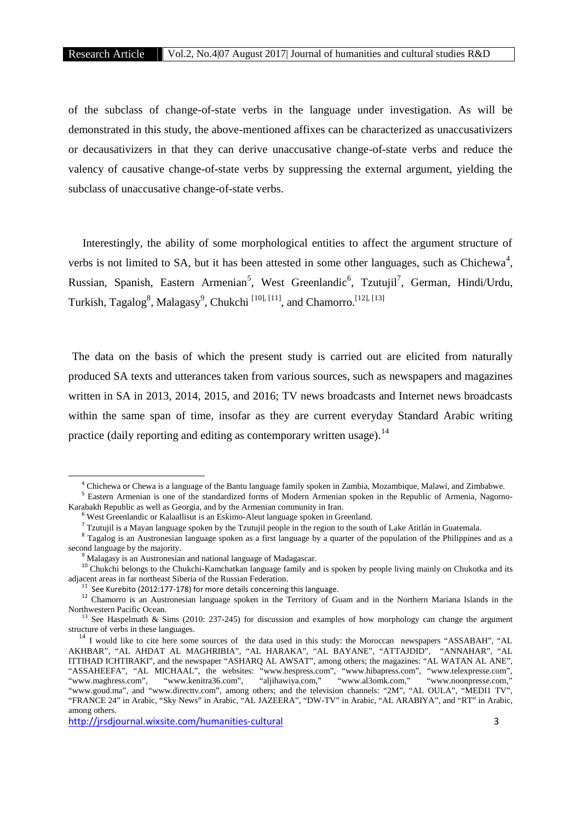of the subclass of change-of-state verbs in the language under investigation. As will be demonstrated in this study, the above-mentioned affixes can be characterized as unaccusativizers or decausativizers in that they can derive unaccusative change-of-state verbs and reduce the valency of causative change-of-state verbs by suppressing the external argument, yielding the subclass of unaccusative change-of-state verbs.

Interestingly, the ability of some morphological entities to affect the argument structure of verbs is not limited to SA, but it has been attested in some other languages, such as Chichewa<sup>4</sup>, Russian, Spanish, Eastern Armenian<sup>5</sup>, West Greenlandic<sup>6</sup>, Tzutujil<sup>7</sup>, German, Hindi/Urdu, Turkish, Tagalog<sup>8</sup>, Malagasy<sup>9</sup>, Chukchi <sup>[10], [11]</sup>, and Chamorro.<sup>[12], [13]</sup>

The data on the basis of which the present study is carried out are elicited from naturally produced SA texts and utterances taken from various sources, such as newspapers and magazines written in SA in 2013, 2014, 2015, and 2016; TV news broadcasts and Internet news broadcasts within the same span of time, insofar as they are current everyday Standard Arabic writing practice (daily reporting and editing as contemporary written usage).<sup>14</sup>

<sup>&</sup>lt;sup>4</sup> Chichewa or Chewa is a language of the Bantu language family spoken in Zambia, Mozambique, Malawi, and Zimbabwe.<br><sup>5</sup> Eastern Armenian is one of the standardized forms of Modern Armenian spoken in the Republic of Armeni Karabakh Republic as well as Georgia, and by the Armenian community in Iran.<br>
<sup>6</sup> West Greenlandic or Kalaallisut is an Eskimo-Aleut language spoken in Greenland.<br>
<sup>7</sup> Tzutujil is a Mayan language spoken by the Tzutujil pe

second language by the majority.<br><sup>9</sup> Malagasy is an Austronesian and national language of Madagascar.<br><sup>10</sup> Chukchi belongs to the Chukchi-Kamchatkan language family and is spoken by people living mainly on Chukotka and its

<sup>&</sup>lt;sup>11</sup> See Kurebito (2012:177-178) for more details concerning this language.<br><sup>12</sup> Chamorro is an Austronesian language spoken in the Territory of Guam and in the Northern Mariana Islands in the Northwestern Pacific Ocean.<br><sup>13</sup> See Haspelmath & Sims (2010: 237-245) for discussion and examples of how morphology can change the argument

structure of verbs in these languages.

<sup>&</sup>lt;sup>14</sup> I would like to cite here some sources of the data used in this study: the Moroccan newspapers "ASSABAH", "AL AKHBAR", "AL AHDAT AL MAGHRIBIA", "AL HARAKA", "AL BAYANE", "ATTAJDID", "ANNAHAR", "AL ITTIHAD ICHTIRAKI", and the newspaper "ASHARQ AL AWSAT", among others; the magazines: "AL WATAN AL ANE", "ASSAHEEFA", "AL MICHAAL", the websites: "www.hespress.com", "www.hibapress.com", "www.telexpresse.com", "www.maghress.com", "www.kenitra36.com", "aljihawiya.com," "www.al3omk.com," "www.noonpresse.com," "www.goud.ma", and "www.directtv.com", among others; and the television channels: "2M", "AL OULA", "MEDI1 TV", "FRANCE 24" in Arabic, "Sky News" in Arabic, "AL JAZEERA", "DW-TV" in Arabic, "AL ARABIYA", and "RT" in Arabic, among others.

http://jrsdjournal.wixsite.com/humanities-cultural 3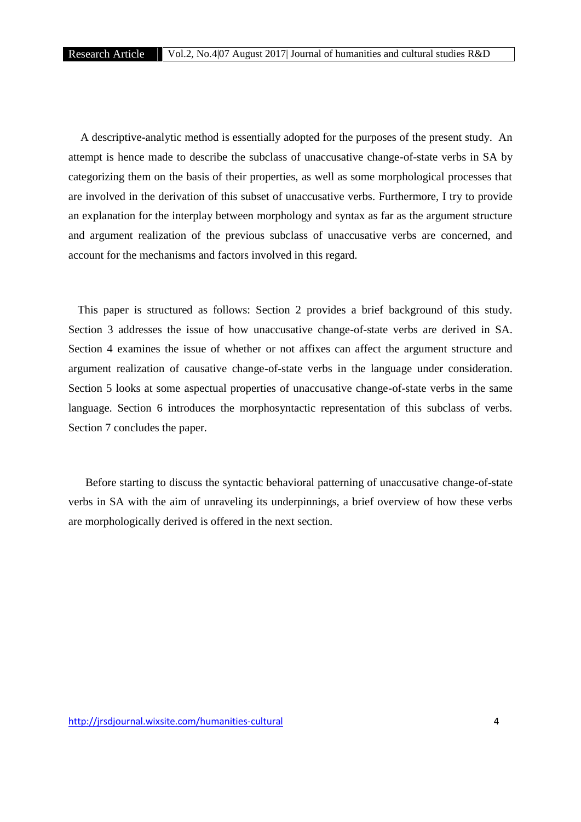A descriptive-analytic method is essentially adopted for the purposes of the present study. An attempt is hence made to describe the subclass of unaccusative change-of-state verbs in SA by categorizing them on the basis of their properties, as well as some morphological processes that are involved in the derivation of this subset of unaccusative verbs. Furthermore, I try to provide an explanation for the interplay between morphology and syntax as far as the argument structure and argument realization of the previous subclass of unaccusative verbs are concerned, and account for the mechanisms and factors involved in this regard.

This paper is structured as follows: Section 2 provides a brief background of this study. Section 3 addresses the issue of how unaccusative change-of-state verbs are derived in SA. Section 4 examines the issue of whether or not affixes can affect the argument structure and argument realization of causative change-of-state verbs in the language under consideration. Section 5 looks at some aspectual properties of unaccusative change-of-state verbs in the same language. Section 6 introduces the morphosyntactic representation of this subclass of verbs. Section 7 concludes the paper.

Before starting to discuss the syntactic behavioral patterning of unaccusative change-of-state verbs in SA with the aim of unraveling its underpinnings, a brief overview of how these verbs are morphologically derived is offered in the next section.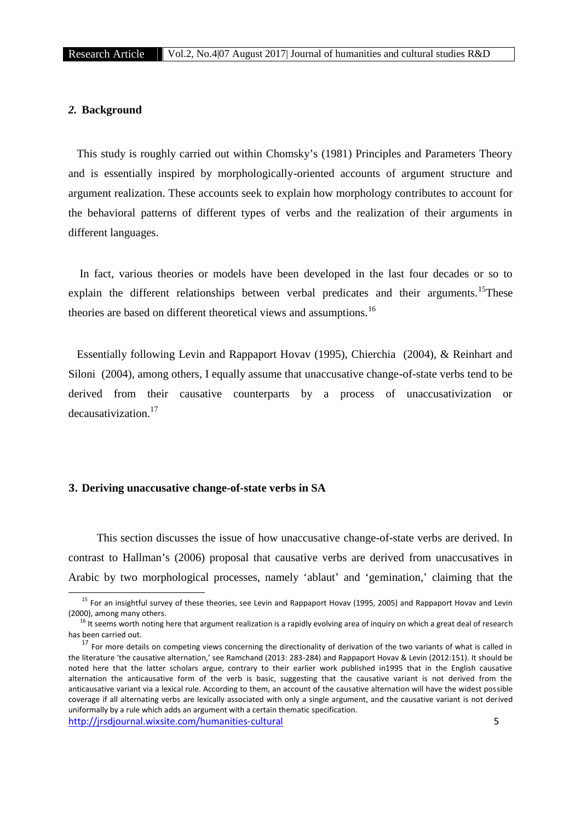#### *2.* **Background**

This study is roughly carried out within Chomsky's (1981) Principles and Parameters Theory and is essentially inspired by morphologically-oriented accounts of argument structure and argument realization. These accounts seek to explain how morphology contributes to account for the behavioral patterns of different types of verbs and the realization of their arguments in different languages.

In fact, various theories or models have been developed in the last four decades or so to explain the different relationships between verbal predicates and their arguments.<sup>15</sup>These theories are based on different theoretical views and assumptions.<sup>16</sup>

Essentially following Levin and Rappaport Hovav (1995), Chierchia (2004), & Reinhart and Siloni (2004), among others, I equally assume that unaccusative change-of-state verbs tend to be derived from their causative counterparts by a process of unaccusativization or decausativization.<sup>17</sup>

# **3. Deriving unaccusative change-of-state verbs in SA**

This section discusses the issue of how unaccusative change-of-state verbs are derived. In contrast to Hallman's (2006) proposal that causative verbs are derived from unaccusatives in Arabic by two morphological processes, namely 'ablaut' and 'gemination,' claiming that the

<sup>&</sup>lt;sup>15</sup> For an insightful survey of these theories, see Levin and Rappaport Hovav (1995, 2005) and Rappaport Hovav and Levin (2000), among many others.

 $16$  It seems worth noting here that argument realization is a rapidly evolving area of inquiry on which a great deal of research has been carried out.

http://jrsdjournal.wixsite.com/humanities-cultural 5 <sup>17</sup> For more details on competing views concerning the directionality of derivation of the two variants of what is called in the literature 'the causative alternation,' see Ramchand (2013: 283-284) and Rappaport Hovav & Levin (2012:151). It should be noted here that the latter scholars argue, contrary to their earlier work published in1995 that in the English causative alternation the anticausative form of the verb is basic, suggesting that the causative variant is not derived from the anticausative variant via a lexical rule. According to them, an account of the causative alternation will have the widest possible coverage if all alternating verbs are lexically associated with only a single argument, and the causative variant is not derived uniformally by a rule which adds an argument with a certain thematic specification.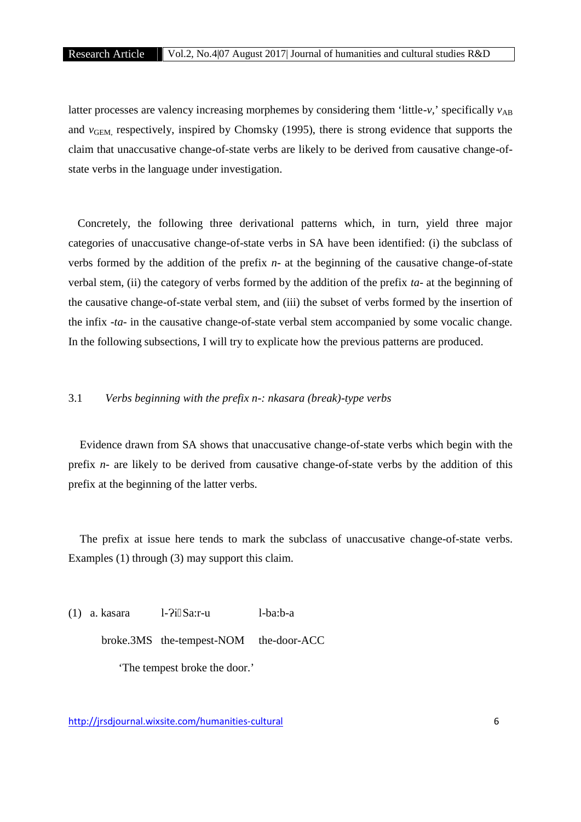latter processes are valency increasing morphemes by considering them 'little- $v$ ,' specifically  $v_{AB}$ and *v*<sub>GEM</sub>, respectively, inspired by Chomsky (1995), there is strong evidence that supports the claim that unaccusative change-of-state verbs are likely to be derived from causative change-of state verbs in the language under investigation.

Concretely, the following three derivational patterns which, in turn, yield three major categories of unaccusative change-of-state verbs in SA have been identified: (i) the subclass of verbs formed by the addition of the prefix *n-* at the beginning of the causative change-of-state verbal stem, (ii) the category of verbs formed by the addition of the prefix *ta-* at the beginning of the causative change-of-state verbal stem, and (iii) the subset of verbs formed by the insertion of the infix -*ta*- in the causative change-of-state verbal stem accompanied by some vocalic change. In the following subsections, I will try to explicate how the previous patterns are produced.

## 3.1 *Verbs beginning with the prefix n-: nkasara (break)-type verbs*

Evidence drawn from SA shows that unaccusative change-of-state verbs which begin with the prefix *n-*are likely to be derived from causative change-of-state verbs by the addition of this prefix at the beginning of the latter verbs.

The prefix at issue here tends to mark the subclass of unaccusative change-of-state verbs. Examples (1) through (3) may support this claim.

 $(1)$  a. kasara  $1-2i$  Sa:r-u  $1-ba:b-a$ broke.3MS the-tempest-NOM the-door-ACC 'The tempest broke the door.'

http://jrsdjournal.wixsite.com/humanities-cultural 6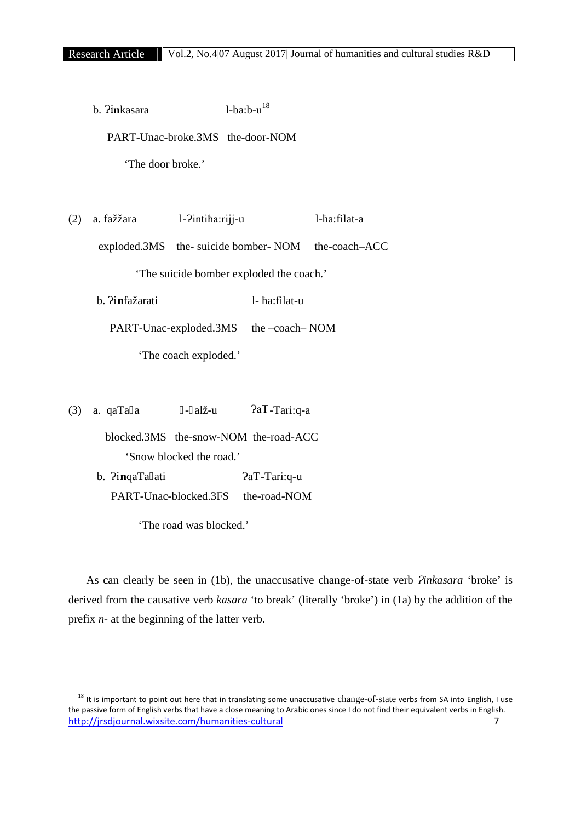b.  $P$ inkasara  $1-ba:b-u$ <sup>18</sup> PART-Unac-broke.3MS the-door-NOM 'The door broke.'  $(2)$  a. fažžara l- $\overline{P}$ inti $\overline{P}$ a:riji-u l-a:filat-a exploded.3MS the- suicide bomber- NOM the-coach–ACC 'The suicide bomber exploded the coach.' b.  $\lim_{a \to a}$  **h**  $\lim_{a \to a}$ PART-Unac-exploded.3MS the –coach– NOM 'The coach exploded.'

(3) a. qaTa a  $-$  alž-u  $2aT-Tari:q-a$ 

blocked.3MS the-snow-NOM the-road-ACC 'Snow blocked the road.'

b.  $\frac{2}{\pi}$ inqaTa ati  $\frac{2}{\pi}$   $\frac{2}{\pi}$ PART-Unac-blocked.3FS the-road-NOM

'The road was blocked.'

As can clearly be seen in (1b), the unaccusative change-of-state verb *Pinkasara* 'broke' is derived from the causative verb *kasara* 'to break' (literally 'broke') in (1a) by the addition of the prefix *n-* at the beginning of the latter verb.

http://jrsdjournal.wixsite.com/humanities-cultural 7 <sup>18</sup> It is important to point out here that in translating some unaccusative change-of-state verbs from SA into English, I use the passive form of English verbs that have a close meaning to Arabic ones since I do not find their equivalent verbs in English.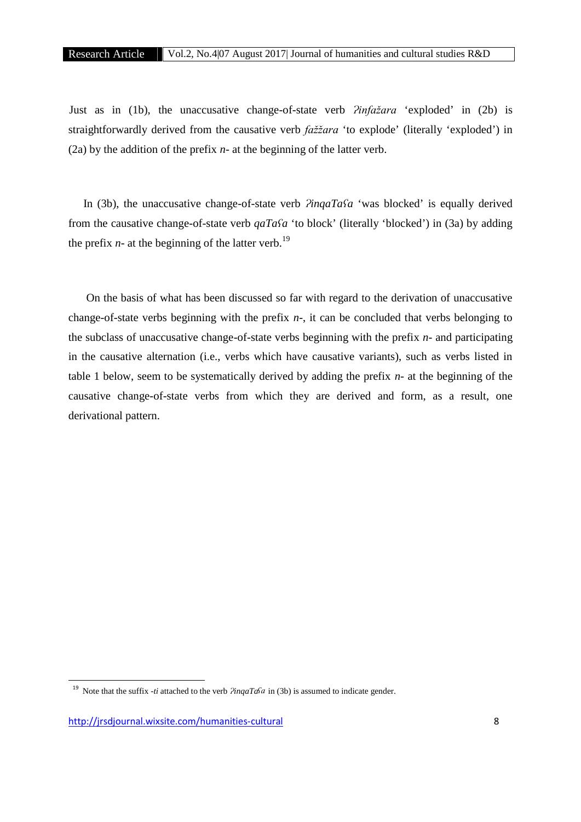Just as in (1b), the unaccusative change-of-state verb *Pinfažara* 'exploded' in (2b) is straightforwardly derived from the causative verb *fažžara* 'to explode' (literally 'exploded') in (2a) by the addition of the prefix *n-* at the beginning of the latter verb.

In (3b), the unaccusative change-of-state verb *PinqaTaSa* 'was blocked' is equally derived from the causative change-of-state verb *qaTaʕa* 'to block' (literally 'blocked') in (3a) by adding the prefix  $n$ - at the beginning of the latter verb.<sup>19</sup>

On the basis of what has been discussed so far with regard to the derivation of unaccusative change-of-state verbs beginning with the prefix *n-*, it can be concluded that verbs belonging to the subclass of unaccusative change-of-state verbs beginning with the prefix *n-* and participating in the causative alternation (i.e., verbs which have causative variants), such as verbs listed in table 1 below, seem to be systematically derived by adding the prefix *n-* at the beginning of the causative change-of-state verbs from which they are derived and form, as a result, one derivational pattern.

<sup>&</sup>lt;sup>19</sup> Note that the suffix *-ti* attached to the verb  $\frac{\partial \eta}{\partial q}$  in (3b) is assumed to indicate gender.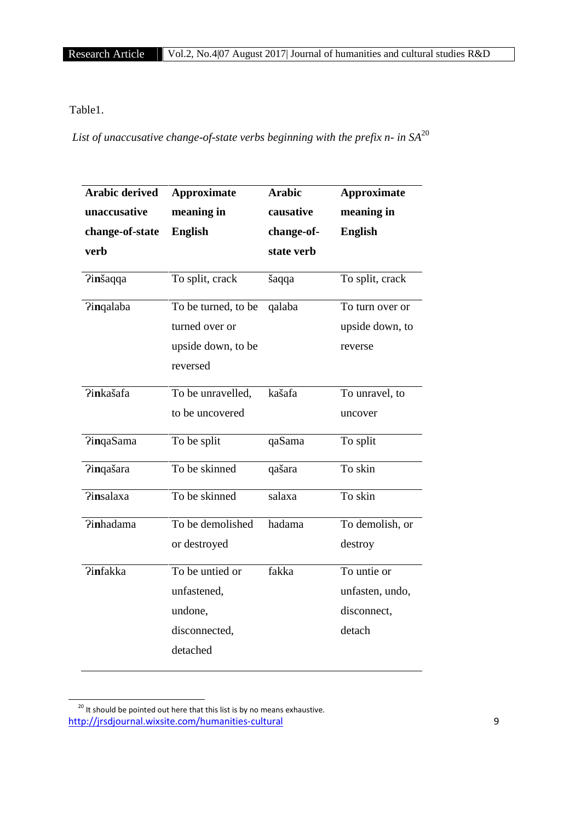# Table1.

*List of unaccusative change-of-state verbs beginning with the prefix n- in SA*<sup>20</sup>

| <b>Arabic derived</b><br>unaccusative | <b>Approximate</b><br>meaning in                                        | <b>Arabic</b><br>causative | <b>Approximate</b><br>meaning in                        |
|---------------------------------------|-------------------------------------------------------------------------|----------------------------|---------------------------------------------------------|
| change-of-state<br>verb               | <b>English</b>                                                          | change-of-<br>state verb   | <b>English</b>                                          |
| <b>Pinšaqqa</b>                       | To split, crack                                                         | šaqqa                      | To split, crack                                         |
| <b>Pingalaba</b>                      | To be turned, to be<br>turned over or<br>upside down, to be<br>reversed | qalaba                     | To turn over or<br>upside down, to<br>reverse           |
| <b>Pinkašafa</b>                      | To be unravelled,<br>to be uncovered                                    | kašafa                     | To unravel, to<br>uncover                               |
| <b>PingaSama</b>                      | To be split                                                             | qaSama                     | To split                                                |
| Pinqašara                             | To be skinned                                                           | qašara                     | To skin                                                 |
| <b>Pinsalaxa</b>                      | To be skinned                                                           | salaxa                     | To skin                                                 |
| <b>?inhadama</b>                      | To be demolished<br>or destroyed                                        | hadama                     | To demolish, or<br>destroy                              |
| <b>Pinfakka</b>                       | To be untied or<br>unfastened,<br>undone,<br>disconnected,<br>detached  | fakka                      | To untie or<br>unfasten, undo,<br>disconnect,<br>detach |

http://jrsdjournal.wixsite.com/humanities-cultural 9  $\frac{20}{10}$  It should be pointed out here that this list is by no means exhaustive.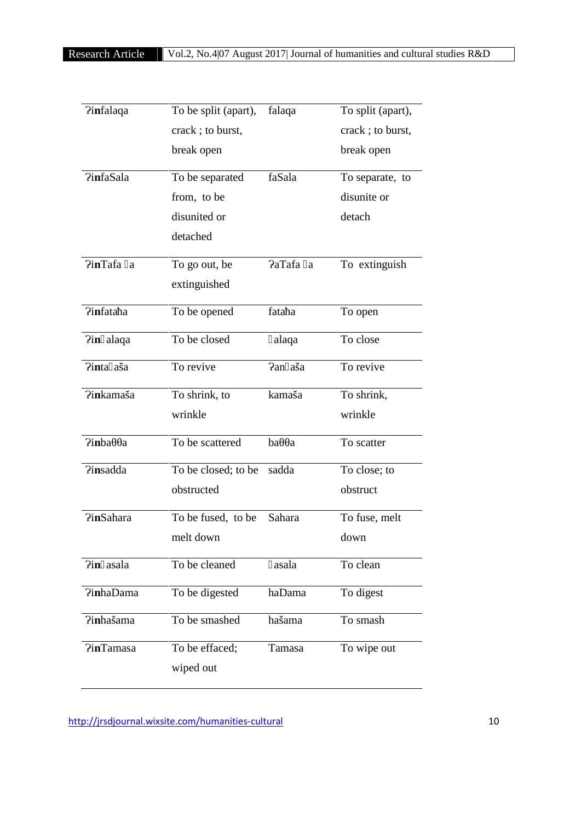| <b>Pinfalaqa</b>         | To be split (apart),<br>crack; to burst, | falaqa   | To split (apart),<br>crack; to burst, |
|--------------------------|------------------------------------------|----------|---------------------------------------|
|                          |                                          |          |                                       |
|                          | break open                               |          | break open                            |
| <b>PinfaSala</b>         | To be separated                          | faSala   | To separate, to                       |
|                          | from, to be                              |          | disunite or                           |
|                          | disunited or                             |          | detach                                |
|                          | detached                                 |          |                                       |
| PinTafa a                | To go out, be                            | PaTafa a | To extinguish                         |
|                          | extinguished                             |          |                                       |
| Pinfata a                | To be opened                             | fata a   | To open                               |
| $\lim$ alaqa             | To be closed                             | alaqa    | To close                              |
| Pinta aša                | To revive                                | Pan aša  | To revive                             |
| Pinkamaša                | To shrink, to                            | kamaša   | To shrink,                            |
|                          | wrinkle                                  |          | wrinkle                               |
| <b>Pinba</b><br>$\rm{a}$ | To be scattered                          | ba<br>a  | To scatter                            |
| <b>Pinsadda</b>          | To be closed; to be                      | sadda    | To close; to                          |
|                          | obstructed                               |          | obstruct                              |
| <b>PinSahara</b>         | To be fused, to be                       | Sahara   | To fuse, melt                         |
|                          | melt down                                |          | down                                  |
| Pin asala                | To be cleaned                            | asala    | To clean                              |
| <b>?inhaDama</b>         | To be digested                           | haDama   | To digest                             |
| ?inhašama                | To be smashed                            | hašama   | To smash                              |
| <b>PinTamasa</b>         | To be effaced;                           | Tamasa   | To wipe out                           |
|                          | wiped out                                |          |                                       |

http://jrsdjournal.wixsite.com/humanities-cultural 10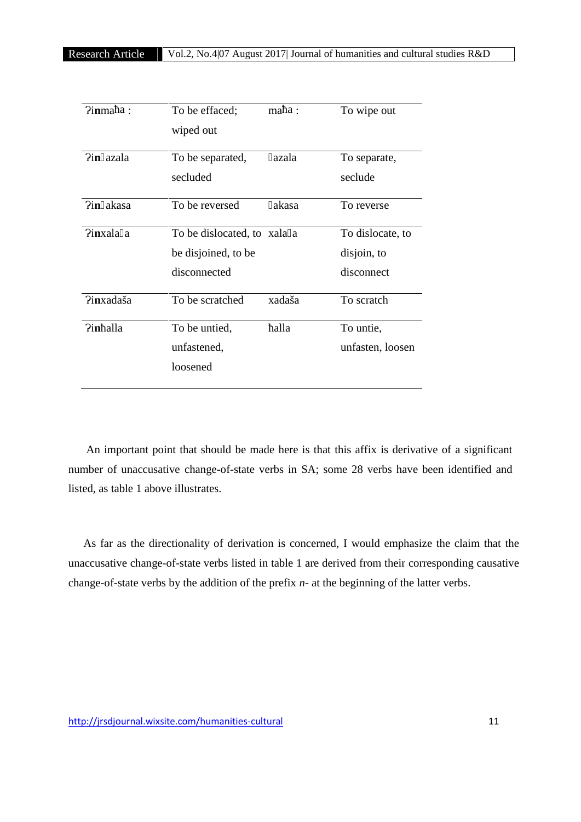| ?inma a:  | To be effaced;<br>ma a:     | To wipe out      |
|-----------|-----------------------------|------------------|
|           | wiped out                   |                  |
| Pin azala | To be separated,<br>azala   | To separate,     |
|           | secluded                    | seclude          |
| ?in akasa | To be reversed<br>akasa     | To reverse       |
| Pinxala a | To be dislocated, to xala a | To dislocate, to |
|           | be disjoined, to be         | disjoin, to      |
|           | disconnected                | disconnect       |
| Pinxadaša | To be scratched<br>xadaša   | To scratch       |
| Pin alla  | To be untied,<br>alla       | To untie,        |
|           | unfastened,                 | unfasten, loosen |
|           | loosened                    |                  |
|           |                             |                  |

An important point that should be made here is that this affix is derivative of a significant number of unaccusative change-of-state verbs in SA; some 28 verbs have been identified and listed, as table 1 above illustrates.

As far as the directionality of derivation is concerned, I would emphasize the claim that the unaccusative change-of-state verbs listed in table 1 are derived from their corresponding causative change-of-state verbs by the addition of the prefix *n-* at the beginning of the latter verbs.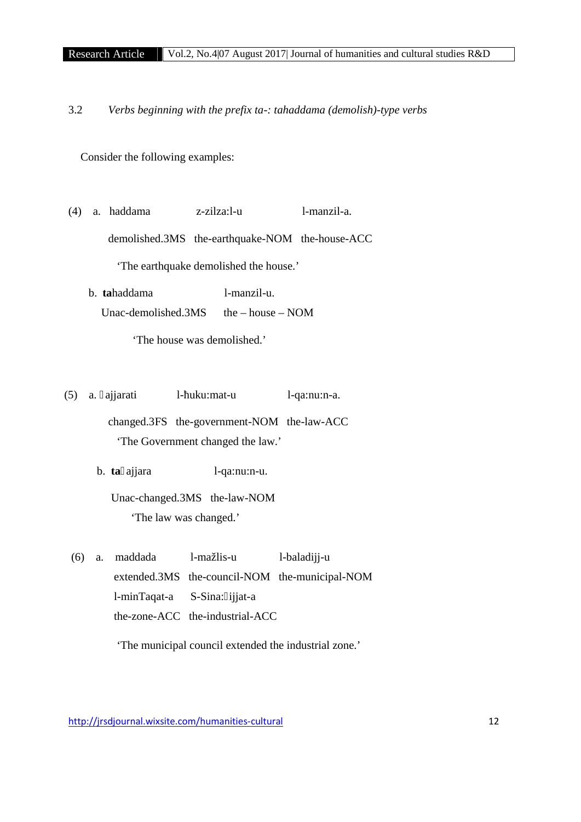3.2 *Verbs beginning with the prefix ta-: tahaddama (demolish)-type verbs*

Consider the following examples:

- (4) a. haddama z-zilza:l-u l-manzil-a. demolished.3MS the-earthquake-NOM the-house-ACC 'The earthquake demolished the house.'
	- b. **ta**haddama l-manzil-u. Unac-demolished.3MS the – house – NOM

'The house was demolished.'

- (5) a. ajjarati l- uku:mat-u l-qa:nu:n-a. changed.3FS the-government-NOM the-law-ACC 'The Government changed the law.'
	- b. **ta** ajjara l-qa:nu:n-u.
		- Unac-changed.3MS the-law-NOM 'The law was changed.'
	- (6) a. maddada l-mažlis-u l-baladijj-u extended.3MS the-council-NOM the-municipal-NOM l-minTaqat-a S-Sina: ijjat-a the-zone-ACC the-industrial-ACC

'The municipal council extended the industrial zone.'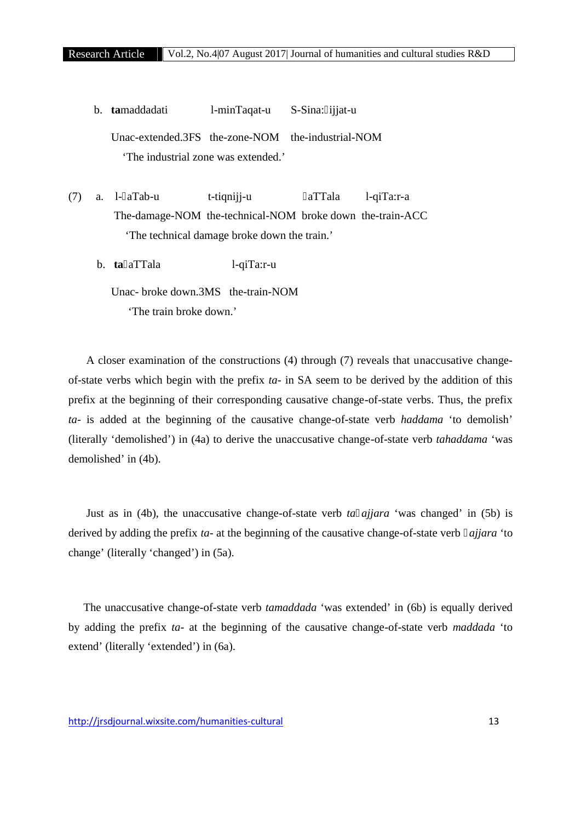b. **ta**maddadati l-minTaqat-u S-Sina: ijjat-u Unac-extended.3FS the-zone-NOM the-industrial-NOM 'The industrial zone was extended.'

(7) a. l- aTab-u t-tiqnijj-u aTTala l-qiTa:r-a The-damage-NOM the-technical-NOM broke down the-train-ACC 'The technical damage broke down the train.'

b. **ta** aTTala l-qiTa:r-u

Unac- broke down.3MS the-train-NOM 'The train broke down.'

A closer examination of the constructions (4) through (7) reveals that unaccusative change of-state verbs which begin with the prefix *ta-* in SA seem to be derived by the addition of this prefix at the beginning of their corresponding causative change-of-state verbs. Thus, the prefix *ta-* is added at the beginning of the causative change-of-state verb *haddama* 'to demolish' (literally 'demolished') in (4a) to derive the unaccusative change-of-state verb *tahaddama* 'was demolished' in (4b).

Just as in (4b), the unaccusative change-of-state verb *ta ajjara* 'was changed' in (5b) is derived by adding the prefix *ta-* at the beginning of the causative change-of-state verb *ajjara* 'to change' (literally 'changed') in (5a).

The unaccusative change-of-state verb *tamaddada* 'was extended' in (6b) is equally derived by adding the prefix *ta-* at the beginning of the causative change-of-state verb *maddada* 'to extend' (literally 'extended') in (6a).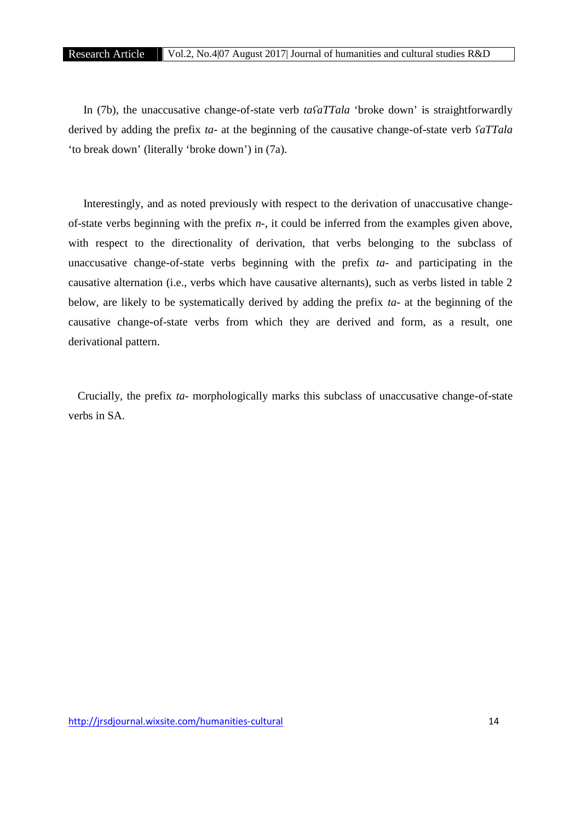In (7b), the unaccusative change-of-state verb *taʕaTTala* 'broke down' is straightforwardly derived by adding the prefix *ta-* at the beginning of the causative change-of-state verb *ʕaTTala* 'to break down' (literally 'broke down') in (7a).

Interestingly, and as noted previously with respect to the derivation of unaccusative change of-state verbs beginning with the prefix *n-*, it could be inferred from the examples given above, with respect to the directionality of derivation, that verbs belonging to the subclass of unaccusative change-of-state verbs beginning with the prefix *ta-* and participating in the causative alternation (i.e., verbs which have causative alternants), such as verbs listed in table 2 below, are likely to be systematically derived by adding the prefix *ta-* at the beginning of the causative change-of-state verbs from which they are derived and form, as a result, one derivational pattern.

Crucially, the prefix *ta-* morphologically marks this subclass of unaccusative change-of-state verbs in SA.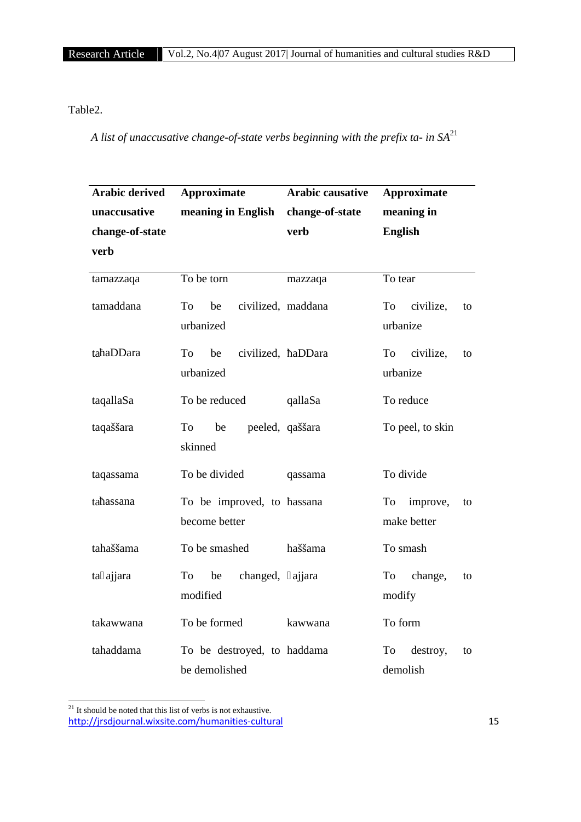# Table2.

*A list of unaccusative change-of-state verbs beginning with the prefix ta- in SA*<sup>21</sup>

| <b>Arabic derived</b> | <b>Approximate</b>                           | <b>Arabic causative</b> | <b>Approximate</b>                  |
|-----------------------|----------------------------------------------|-------------------------|-------------------------------------|
| unaccusative          | meaning in English                           | change-of-state         | meaning in                          |
| change-of-state       |                                              | verb                    | <b>English</b>                      |
| verb                  |                                              |                         |                                     |
| tamazzaqa             | To be torn                                   | mazzaqa                 | To tear                             |
| tamaddana             | civilized, maddana<br>To<br>be<br>urbanized  |                         | To<br>civilize,<br>to<br>urbanize   |
| ta aDDara             | be<br>civilized,<br>To<br>urbanized          | aDDara                  | civilize,<br>To<br>to<br>urbanize   |
| taqallaSa             | To be reduced                                | qallaSa                 | To reduce                           |
| taqaššara             | To<br>be<br>peeled, qaššara<br>skinned       |                         | To peel, to skin                    |
| taqassama             | To be divided                                | qassama                 | To divide                           |
| ta assana             | To be improved, to<br>become better          | assana                  | improve,<br>To<br>to<br>make better |
| tahaššama             | To be smashed                                | haššama                 | To smash                            |
| ta ajjara             | changed,<br>To<br>be<br>modified             | ajjara                  | To<br>change,<br>to<br>modify       |
| takawwana             | To be formed                                 | kawwana                 | To form                             |
| tahaddama             | To be destroyed, to haddama<br>be demolished |                         | To<br>destroy,<br>to<br>demolish    |

http://jrsdjournal.wixsite.com/humanities-cultural 15  $^{\mathrm{21}}$  It should be noted that this list of verbs is not exhaustive.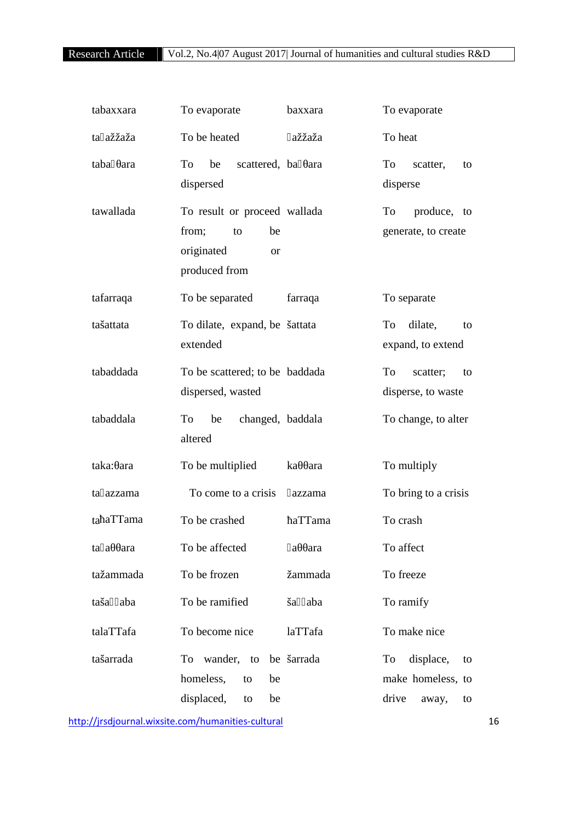| tabaxxara   | To evaporate                                                                                  | baxxara    | To evaporate                                                       |
|-------------|-----------------------------------------------------------------------------------------------|------------|--------------------------------------------------------------------|
| ta ažžaža   | To be heated                                                                                  | ažžaža     | To heat                                                            |
| taba ara    | To<br>be<br>scattered, ba ara<br>dispersed                                                    |            | To<br>scatter,<br>to<br>disperse                                   |
| tawallada   | To result or proceed wallada<br>from;<br>be<br>to<br>originated<br><b>or</b><br>produced from |            | produce, to<br>To<br>generate, to create                           |
| tafarraqa   | To be separated                                                                               | farraqa    | To separate                                                        |
| tašattata   | To dilate, expand, be šattata<br>extended                                                     |            | dilate,<br>To<br>to<br>expand, to extend                           |
| tabaddada   | To be scattered; to be baddada<br>dispersed, wasted                                           |            | To<br>scatter;<br>to<br>disperse, to waste                         |
| tabaddala   | To<br>be<br>changed, baddala<br>altered                                                       |            | To change, to alter                                                |
| taka: ara   | To be multiplied                                                                              | ka<br>ara  | To multiply                                                        |
| ta azzama   | To come to a crisis                                                                           | azzama     | To bring to a crisis                                               |
| ta aTTama   | To be crashed                                                                                 | aTTama     | To crash                                                           |
| ta a<br>ara | To be affected                                                                                | ara<br>a   | To affect                                                          |
| tažammada   | To be frozen                                                                                  | žammada    | To freeze                                                          |
| taša aba    | To be ramified                                                                                | ša aba     | To ramify                                                          |
| talaTTafa   | To become nice                                                                                | laTTafa    | To make nice                                                       |
| tašarrada   | To wander, to<br>homeless,<br>be<br>to<br>displaced,<br>be<br>to                              | be šarrada | displace,<br>To<br>to<br>make homeless, to<br>drive<br>away,<br>to |

http://jrsdjournal.wixsite.com/humanities-cultural 16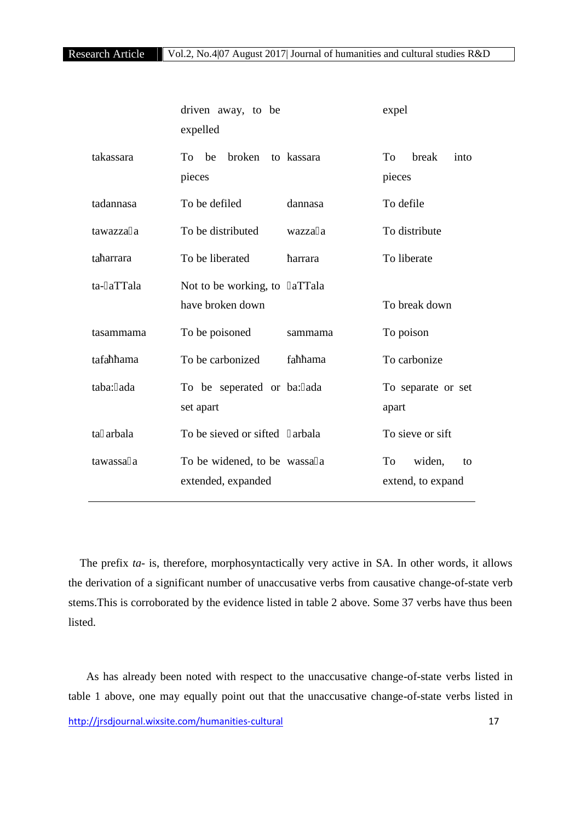|             | driven away, to be<br>expelled                      | expel                                   |
|-------------|-----------------------------------------------------|-----------------------------------------|
| takassara   | broken<br>be<br>to kassara<br>To<br>pieces          | To<br>break<br>into<br>pieces           |
| tadannasa   | To be defiled<br>dannasa                            | To defile                               |
| tawazza a   | To be distributed<br>wazza a                        | To distribute                           |
| ta arrara   | To be liberated<br>arrara                           | To liberate                             |
| ta- aTTala  | aTTala<br>Not to be working, to<br>have broken down | To break down                           |
| tasammama   | To be poisoned<br>sammama                           | To poison                               |
| tafa<br>ama | To be carbonized<br>fa<br>ama                       | To carbonize                            |
| taba: ada   | To be seperated or ba: ada<br>set apart             | To separate or set<br>apart             |
| ta arbala   | To be sieved or sifted<br>arbala                    | To sieve or sift                        |
| tawassa a   | To be widened, to be wassa a<br>extended, expanded  | To<br>widen,<br>to<br>extend, to expand |

The prefix *ta-* is, therefore, morphosyntactically very active in SA. In other words, it allows the derivation of a significant number of unaccusative verbs from causative change-of-state verb stems.This is corroborated by the evidence listed in table 2 above. Some 37 verbs have thus been listed.

http://jrsdjournal.wixsite.com/humanities-cultural 17 As has already been noted with respect to the unaccusative change-of-state verbs listed in table 1 above, one may equally point out that the unaccusative change-of-state verbs listed in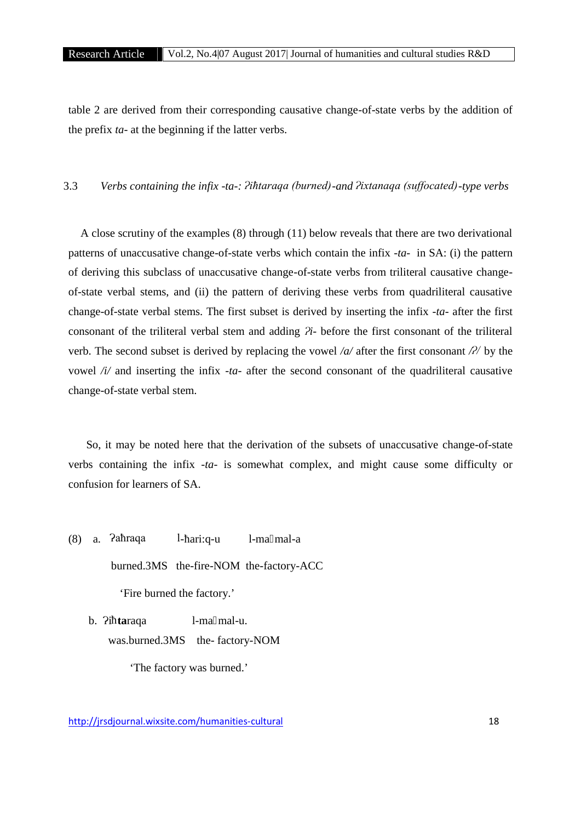table 2 are derived from their corresponding causative change-of-state verbs by the addition of the prefix *ta-* at the beginning if the latter verbs.

3.3 *Verbs containing the infix -ta-: Ɂiħtaraqa (burned)-and Ɂixtanaqa (suffocated)-type verbs*

A close scrutiny of the examples (8) through (11) below reveals that there are two derivational patterns of unaccusative change-of-state verbs which contain the infix -*ta*- in SA: (i) the pattern of deriving this subclass of unaccusative change-of-state verbs from triliteral causative change of-state verbal stems, and (ii) the pattern of deriving these verbs from quadriliteral causative change-of-state verbal stems. The first subset is derived by inserting the infix -*ta-* after the first consonant of the triliteral verbal stem and adding *Ɂi*- before the first consonant of the triliteral verb. The second subset is derived by replacing the vowel */a/* after the first consonant */* $\frac{2}{\sqrt{2}}$  by the vowel */i/* and inserting the infix -*ta*- after the second consonant of the quadriliteral causative change-of-state verbal stem.

So, it may be noted here that the derivation of the subsets of unaccusative change-of-state verbs containing the infix -*ta*- is somewhat complex, and might cause some difficulty or confusion for learners of SA.

 $(8)$  a.  $Pathraqa$  l-ari:q-u l-ma mal-a burned.3MS the-fire-NOM the-factory-ACC 'Fire burned the factory.' b.  $\overline{P}$  **ta**raqa l-ma mal-u.

was.burned.3MS the-factory-NOM

'The factory was burned.'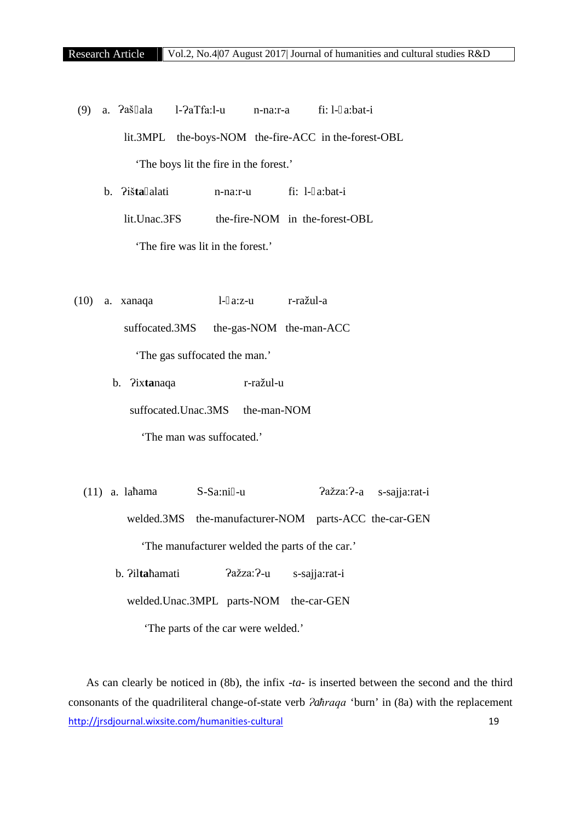$(9)$  a.  $2a\ddot{s}$  ala l- $2aTfa:1-u$  n-na:r-a fi: l- a:bat-i lit.3MPL the-boys-NOM the-fire-ACC in the-forest-OBL 'The boys lit the fire in the forest.' b. Ɂiš**ta** alati n-na:r-u fi: l- a:bat-i

lit.Unac.3FS the-fire-NOM in the-forest-OBL

'The fire was lit in the forest.'

- (10) a. xanaqa l- a:z-u r-ražul-a suffocated.3MS the-gas-NOM the-man-ACC 'The gas suffocated the man.'
	- b. Ɂix**ta**naqa r-ražul-u suffocated.Unac.3MS the-man-NOM 'The man was suffocated.'
	- (11) a. la ama S-Sa:ni -u <br>  $\overline{2}$ ažza: $\overline{2}$ -a s-sajja:rat-i welded.3MS the-manufacturer-NOM parts-ACC the-car-GEN 'The manufacturer welded the parts of the car.'
		- b. ?ilta amati ?ažza: ?-u s-sajja:rat-i

welded.Unac.3MPL parts-NOM the-car-GEN

'The parts of the car were welded.'

http://jrsdjournal.wixsite.com/humanities-cultural 19 As can clearly be noticed in (8b), the infix -*ta*- is inserted between the second and the third consonants of the quadriliteral change-of-state verb *?ahraqa* 'burn' in (8a) with the replacement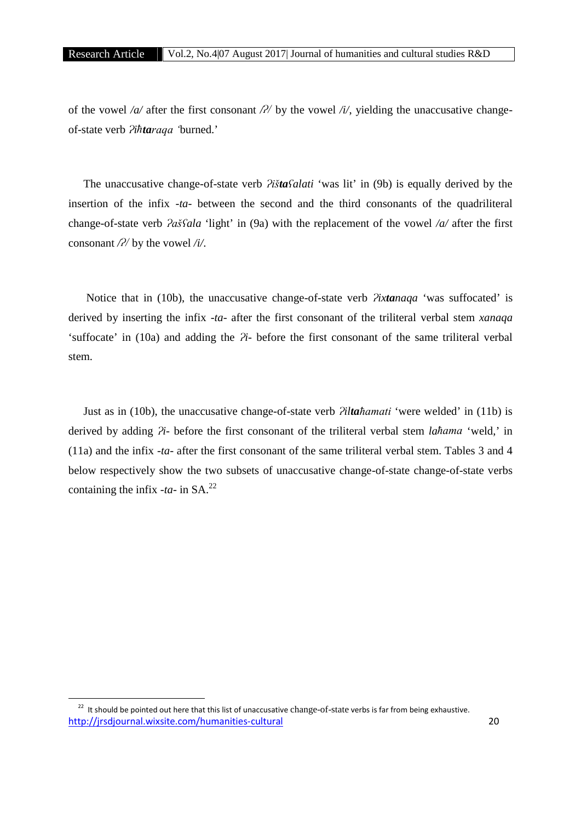of the vowel  $\alpha$  after the first consonant  $\beta$  by the vowel  $\alpha$ , yielding the unaccusative changeof-state verb *Ɂiħtaraqa '*burned.'

The unaccusative change-of-state verb *Ɂištaʕalati* 'was lit' in (9b) is equally derived by the insertion of the infix -*ta*- between the second and the third consonants of the quadriliteral change-of-state verb *Ɂašʕala* 'light' in (9a) with the replacement of the vowel */a/* after the first consonant  $\frac{\partial}{\partial y}$  by the vowel  $\frac{\partial}{\partial z}$ .

Notice that in (10b), the unaccusative change-of-state verb *?ixtanaqa* 'was suffocated' is derived by inserting the infix -*ta*- after the first consonant of the triliteral verbal stem *xanaqa* 'suffocate' in (10a) and adding the  $\hat{Z}$ *i*- before the first consonant of the same triliteral verbal stem.

Just as in (10b), the unaccusative change-of-state verb *Ɂiltaħamati* 'were welded' in (11b) is derived by adding  $\hat{P}$ *i*- before the first consonant of the triliteral verbal stem *lahama* 'weld,' in (11a) and the infix *-ta-* after the first consonant of the same triliteral verbal stem. Tables 3 and 4 below respectively show the two subsets of unaccusative change-of-state change-of-state verbs containing the infix  $-ta$ - in SA.<sup>22</sup>

http://jrsdjournal.wixsite.com/humanities-cultural 20  $22$  It should be pointed out here that this list of unaccusative change-of-state verbs is far from being exhaustive.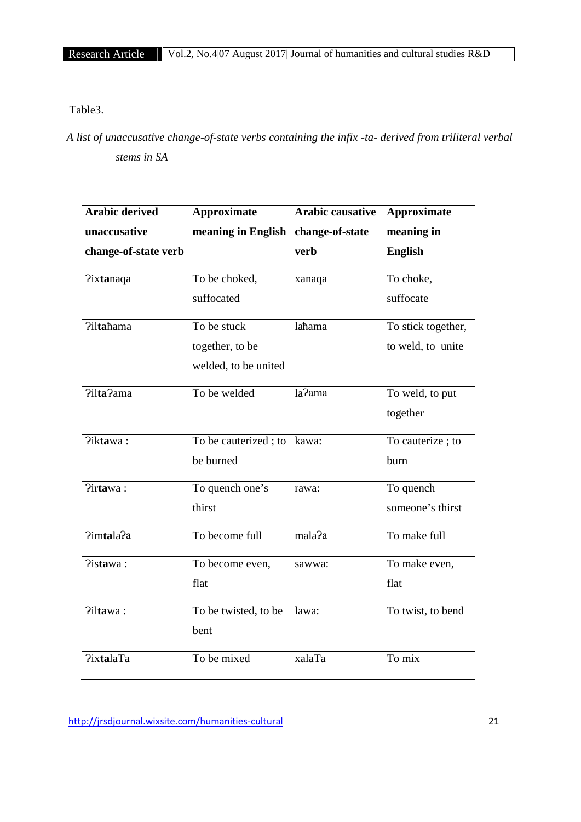Table3.

*A list of unaccusative change-of-state verbs containing the infix -ta- derived from triliteral verbal stems in SA*

| <b>Arabic derived</b> | <b>Approximate</b>                 | <b>Arabic causative</b> | <b>Approximate</b> |
|-----------------------|------------------------------------|-------------------------|--------------------|
| unaccusative          | meaning in English change-of-state |                         | meaning in         |
| change-of-state verb  |                                    | verb                    | <b>English</b>     |
| <b>Pixtanaqa</b>      | To be choked,                      | xanaqa                  | To choke,          |
|                       | suffocated                         |                         | suffocate          |
| Pilta ama             | To be stuck                        | la ama                  | To stick together, |
|                       | together, to be                    |                         | to weld, to unite  |
|                       | welded, to be united               |                         |                    |
| ?ilta?ama             | To be welded                       | la?ama                  | To weld, to put    |
|                       |                                    |                         | together           |
| ?iktawa:              | To be cauterized; to kawa:         |                         | To cauterize; to   |
|                       | be burned                          |                         | burn               |
| ?irtawa:              | To quench one's                    | rawa:                   | To quench          |
|                       | thirst                             |                         | someone's thirst   |
| ?imtala?a             | To become full                     | mala?a                  | To make full       |
| ?istawa:              | To become even,                    | sawwa:                  | To make even,      |
|                       | flat                               |                         | flat               |
| ?iltawa:              | To be twisted, to be               | lawa:                   | To twist, to bend  |
|                       | bent                               |                         |                    |
| <b>PixtalaTa</b>      | To be mixed                        | xalaTa                  | To mix             |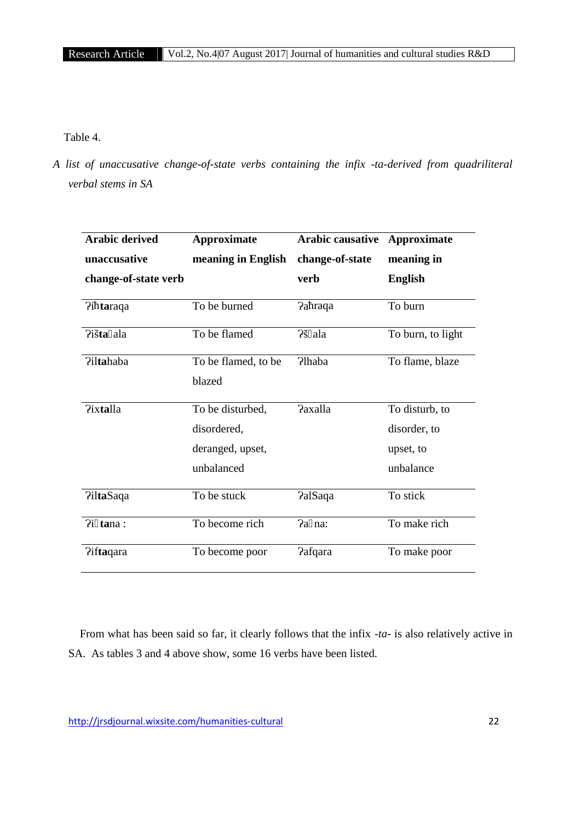Table 4.

*A list of unaccusative change-of-state verbs containing the infix -ta-derived from quadriliteral verbal stems in SA*

| <b>Arabic derived</b> | <b>Approximate</b>  | <b>Arabic causative</b> | <b>Approximate</b> |
|-----------------------|---------------------|-------------------------|--------------------|
| unaccusative          | meaning in English  | change-of-state         | meaning in         |
| change-of-state verb  |                     | verb                    | <b>English</b>     |
| $2i$ taraqa           | To be burned        | Pa raqa                 | To burn            |
| Piš <b>ta</b> ala     | To be flamed        | ?š ala                  | To burn, to light  |
| <b>Piltahaba</b>      | To be flamed, to be | <b>P</b> haba           | To flame, blaze    |
|                       | blazed              |                         |                    |
| <b>Pixtalla</b>       | To be disturbed,    | <b>Paxalla</b>          | To disturb, to     |
|                       | disordered,         |                         | disorder, to       |
|                       | deranged, upset,    |                         | upset, to          |
|                       | unbalanced          |                         | unbalance          |
| <b>PiltaSaqa</b>      | To be stuck         | <b>PalSaqa</b>          | To stick           |
| $Pi$ tana:            | To become rich      | Pa na:                  | To make rich       |
| ?iftaqara             | To become poor      | <b>Pafqara</b>          | To make poor       |

From what has been said so far, it clearly follows that the infix *-ta-* is also relatively active in SA. As tables 3 and 4 above show, some 16 verbs have been listed.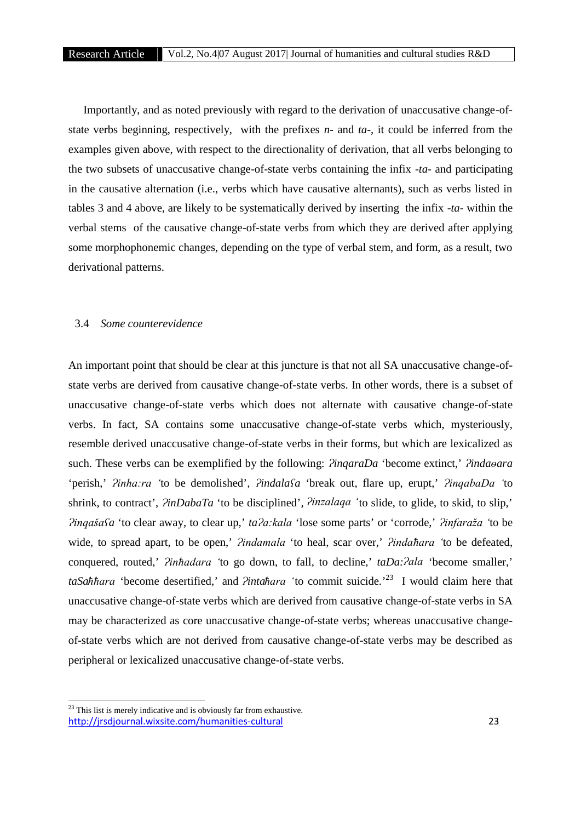Importantly, and as noted previously with regard to the derivation of unaccusative change-of state verbs beginning, respectively, with the prefixes *n-* and *ta-*, it could be inferred from the examples given above, with respect to the directionality of derivation, that all verbs belonging to the two subsets of unaccusative change-of-state verbs containing the infix *-ta-* and participating in the causative alternation (i.e., verbs which have causative alternants), such as verbs listed in tables 3 and 4 above, are likely to be systematically derived by inserting the infix *-ta-* within the verbal stems of the causative change-of-state verbs from which they are derived after applying some morphophonemic changes, depending on the type of verbal stem, and form, as a result, two derivational patterns.

#### 3.4 *Some counterevidence*

An important point that should be clear at this juncture is that not all SA unaccusative change-of state verbs are derived from causative change-of-state verbs. In other words, there is a subset of unaccusative change-of-state verbs which does not alternate with causative change-of-state verbs. In fact, SA contains some unaccusative change-of-state verbs which, mysteriously, resemble derived unaccusative change-of-state verbs in their forms, but which are lexicalized as such. These verbs can be exemplified by the following: *PinqaraDa* 'become extinct,' *Pindaoara* 'perish,' *Ɂinha:ra '*to be demolished'*, Ɂindalaʕa* 'break out, flare up, erupt,' *ɁinqabaDa '*to shrink, to contract', *?inDabaTa* 'to be disciplined', *?inzalaqa* 'to slide, to glide, to skid, to slip,' *Ɂinqašaʕa* 'to clear away, to clear up,' *taɁa:kala* 'lose some parts' or 'corrode,' *Ɂinfaraža '*to be wide, to spread apart, to be open,' *?indamala* 'to heal, scar over,' *?indaħara* 'to be defeated, conquered, routed,' *?inħadara* 'to go down, to fall, to decline,' *taDa:?ala* 'become smaller,' *taSaħħara* 'become desertified,' and *Ɂintaħara '*to commit suicide*.*'<sup>23</sup> I would claim here that unaccusative change-of-state verbs which are derived from causative change-of-state verbs in SA may be characterized as core unaccusative change-of-state verbs; whereas unaccusative change of-state verbs which are not derived from causative change-of-state verbs may be described as peripheral or lexicalized unaccusative change-of-state verbs.

http://jrsdjournal.wixsite.com/humanities-cultural 23 <sup>23</sup> This list is merely indicative and is obviously far from exhaustive.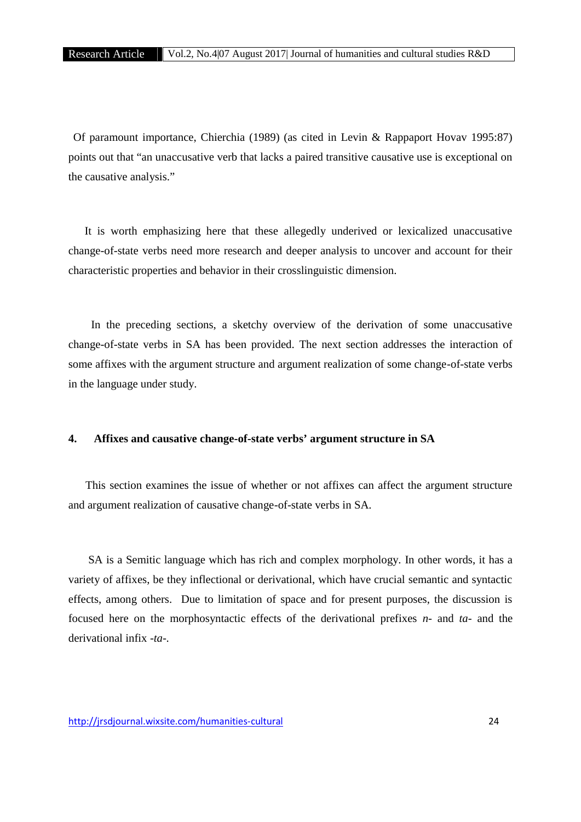Of paramount importance, Chierchia (1989) (as cited in Levin & Rappaport Hovav 1995:87) points out that "an unaccusative verb that lacks a paired transitive causative use is exceptional on the causative analysis."

It is worth emphasizing here that these allegedly underived or lexicalized unaccusative change-of-state verbs need more research and deeper analysis to uncover and account for their characteristic properties and behavior in their crosslinguistic dimension.

In the preceding sections, a sketchy overview of the derivation of some unaccusative change-of-state verbs in SA has been provided. The next section addresses the interaction of some affixes with the argument structure and argument realization of some change-of-state verbs in the language under study.

# **4. Affixes and causative change-of-state verbs' argument structure in SA**

This section examines the issue of whether or not affixes can affect the argument structure and argument realization of causative change-of-state verbs in SA.

SA is a Semitic language which has rich and complex morphology. In other words, it has a variety of affixes, be they inflectional or derivational, which have crucial semantic and syntactic effects, among others. Due to limitation of space and for present purposes, the discussion is focused here on the morphosyntactic effects of the derivational prefixes *n-* and *ta-* and the derivational infix *-ta-.*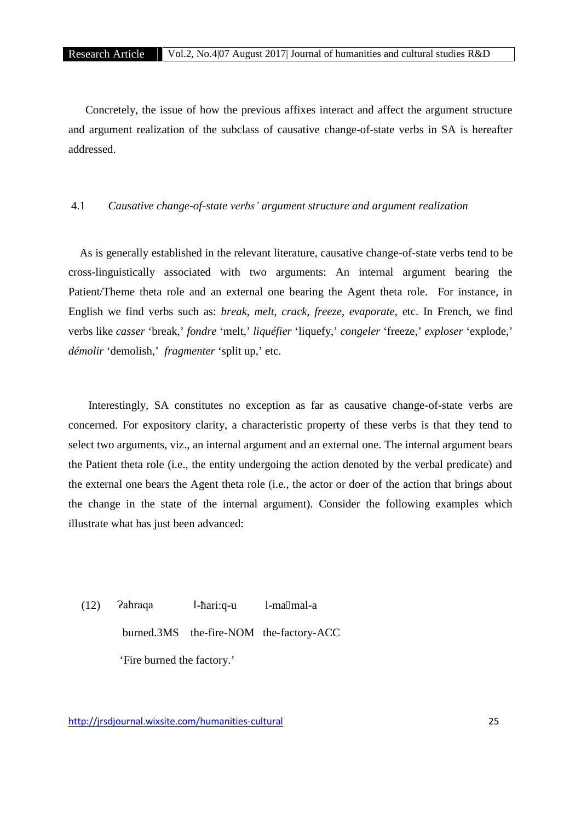Concretely, the issue of how the previous affixes interact and affect the argument structure and argument realization of the subclass of causative change-of-state verbs in SA is hereafter addressed.

#### 4.1 *Causative change-of-state verbs' argument structure and argument realization*

As is generally established in the relevant literature, causative change-of-state verbs tend to be cross-linguistically associated with two arguments: An internal argument bearing the Patient/Theme theta role and an external one bearing the Agent theta role. For instance, in English we find verbs such as: *break*, *melt*, *crack*, *freeze*, *evaporate*, etc. In French, we find verbs like *casser* 'break,' *fondre* 'melt,' *liquéfier* 'liquefy,' *congeler* 'freeze,' *exploser* 'explode,' *démolir* 'demolish,' *fragmenter* 'split up,' etc.

Interestingly, SA constitutes no exception as far as causative change-of-state verbs are concerned. For expository clarity, a characteristic property of these verbs is that they tend to select two arguments, viz., an internal argument and an external one. The internal argument bears the Patient theta role (i.e., the entity undergoing the action denoted by the verbal predicate) and the external one bears the Agent theta role (i.e., the actor or doer of the action that brings about the change in the state of the internal argument). Consider the following examples which illustrate what has just been advanced:

 $(12)$   $\lambda$ aħraqa l-ari:q-u l-ma mal-a

burned.3MS the-fire-NOM the-factory-ACC

'Fire burned the factory.'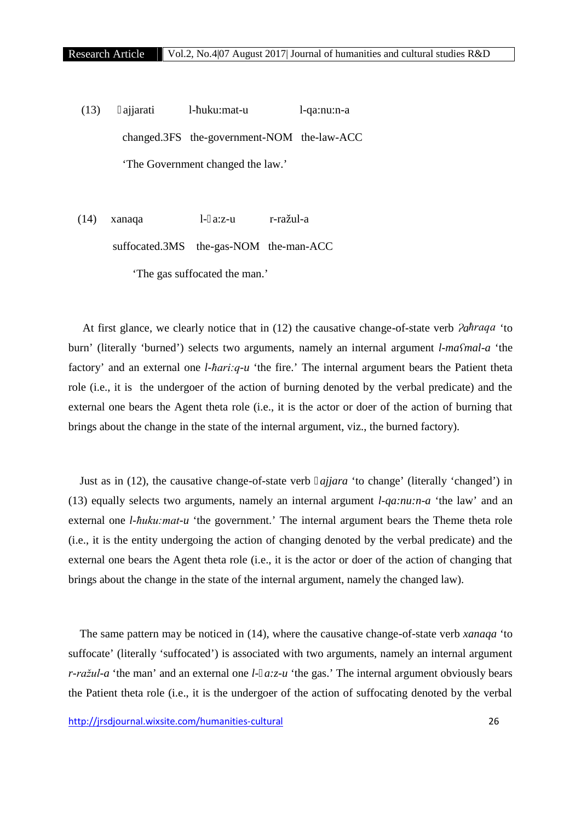$(13)$  ajjarati l- uku:mat-u l-qa:nu:n-a changed.3FS the-government-NOM the-law-ACC 'The Government changed the law.'

(14) xanaqa l- a:z-u r-ražul-a suffocated.3MS the-gas-NOM the-man-ACC 'The gas suffocated the man.'

At first glance, we clearly notice that in (12) the causative change-of-state verb *Ɂaħraqa* 'to burn' (literally 'burned') selects two arguments, namely an internal argument *l-maʕmal-a* 'the factory' and an external one *l-hari:q-u* 'the fire.' The internal argument bears the Patient theta role (i.e., it is the undergoer of the action of burning denoted by the verbal predicate) and the external one bears the Agent theta role (i.e., it is the actor or doer of the action of burning that brings about the change in the state of the internal argument, viz., the burned factory).

Just as in (12), the causative change-of-state verb *ajjara* 'to change' (literally 'changed') in (13) equally selects two arguments, namely an internal argument *l-qa:nu:n-a* 'the law' and an external one *l-ħuku:mat-u* 'the government.' The internal argument bears the Theme theta role (i.e., it is the entity undergoing the action of changing denoted by the verbal predicate) and the external one bears the Agent theta role (i.e., it is the actor or doer of the action of changing that brings about the change in the state of the internal argument, namely the changed law).

The same pattern may be noticed in (14), where the causative change-of-state verb *xanaqa* 'to suffocate' (literally 'suffocated') is associated with two arguments, namely an internal argument *r-ražul-a* 'the man' and an external one *l- a:z-u* 'the gas.' The internal argument obviously bears the Patient theta role (i.e., it is the undergoer of the action of suffocating denoted by the verbal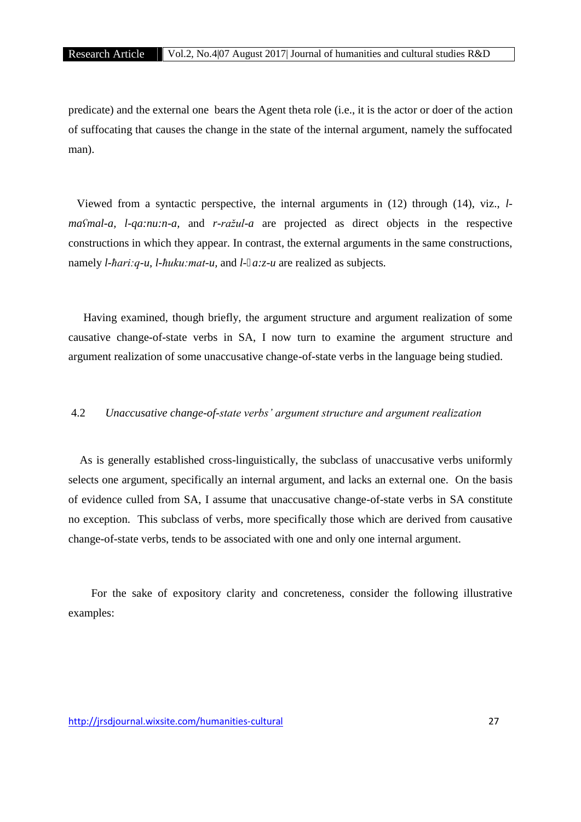predicate) and the external one bears the Agent theta role (i.e., it is the actor or doer of the action of suffocating that causes the change in the state of the internal argument, namely the suffocated man).

Viewed from a syntactic perspective, the internal arguments in (12) through (14), viz., *l maʕmal-a, l-qa:nu:n-a,* and *r-ražul-a* are projected as direct objects in the respective constructions in which they appear. In contrast, the external arguments in the same constructions, namely *l-ħari:q-u, l-ħuku:mat-u,* and *l- a:z-u* are realized as subjects*.*

Having examined, though briefly, the argument structure and argument realization of some causative change-of-state verbs in SA, I now turn to examine the argument structure and argument realization of some unaccusative change-of-state verbs in the language being studied.

# 4.2 *Unaccusative change-of-state verbs' argument structure and argument realization*

As is generally established cross-linguistically, the subclass of unaccusative verbs uniformly selects one argument, specifically an internal argument, and lacks an external one. On the basis of evidence culled from SA, I assume that unaccusative change-of-state verbs in SA constitute no exception. This subclass of verbs, more specifically those which are derived from causative change-of-state verbs, tends to be associated with one and only one internal argument.

For the sake of expository clarity and concreteness, consider the following illustrative examples: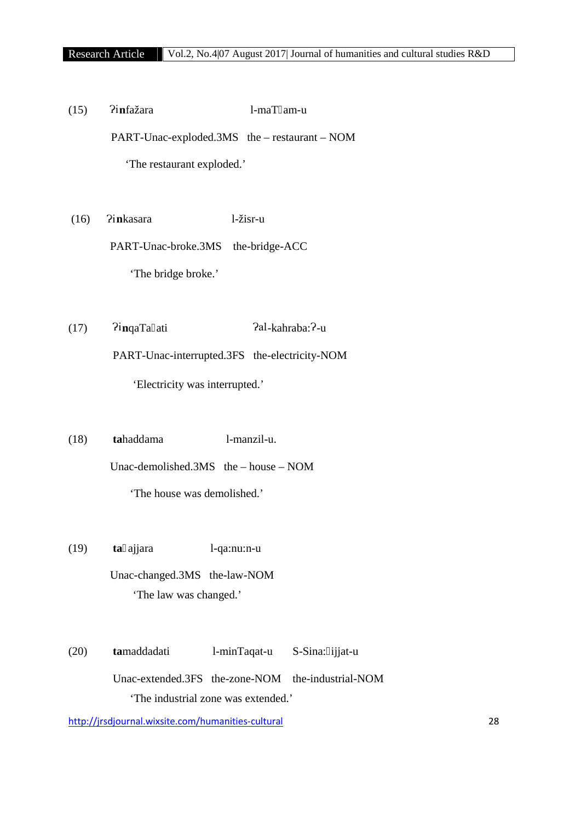(15) Ɂi**n**fažara l-maT am-u PART-Unac-exploded.3MS the – restaurant – NOM 'The restaurant exploded.'

(16) Ɂi**n**kasara l-žisr-u

PART-Unac-broke.3MS the-bridge-ACC 'The bridge broke.'

(17)  $\frac{2i}{\pi}$   $\frac{2i}{\pi}$  ati  $\frac{2a}{\pi}$ -kahraba:  $\frac{2-a}{\pi}$ PART-Unac-interrupted.3FS the-electricity-NOM 'Electricity was interrupted.'

(18) **ta**haddama l-manzil-u. Unac-demolished.3MS the – house – NOM 'The house was demolished.'

- (19) **ta** ajjara l-qa:nu:n-u Unac-changed.3MS the-law-NOM 'The law was changed.'
- (20) **ta**maddadati l-minTaqat-u S-Sina: ijjat-u Unac-extended.3FS the-zone-NOM the-industrial-NOM 'The industrial zone was extended.'

http://jrsdjournal.wixsite.com/humanities-cultural 28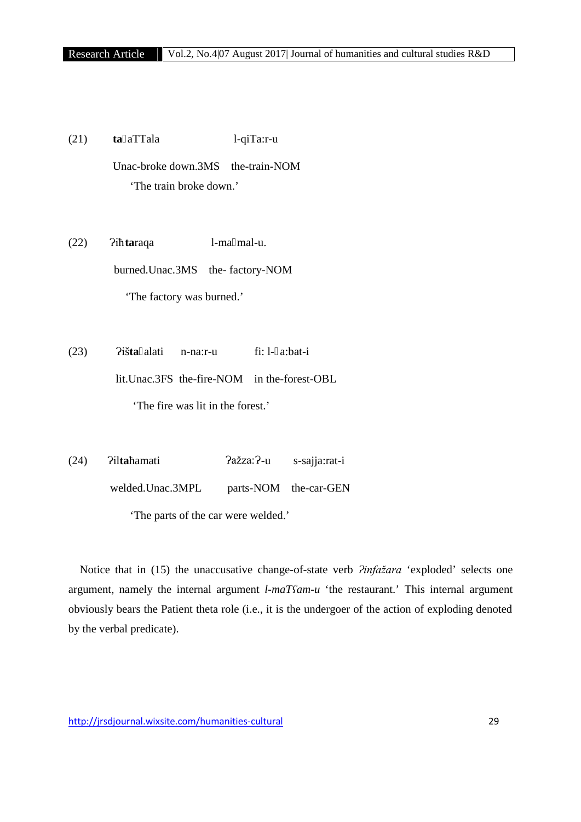(21) **ta** aTTala l-qiTa:r-u Unac-broke down.3MS the-train-NOM 'The train broke down.'

(22) Ɂiħ**ta**raqa l-ma mal-u. burned.Unac.3MS the-factory-NOM 'The factory was burned.'

(23) Ɂiš**ta** alati n-na:r-u fi: l- a:bat-i lit.Unac.3FS the-fire-NOM in the-forest-OBL 'The fire was lit in the forest.'

(24) Ɂil**ta**ħamati Ɂažza:Ɂ-u s-sajja:rat-i welded.Unac.3MPL parts-NOM the-car-GEN 'The parts of the car were welded.'

Notice that in (15) the unaccusative change-of-state verb *?infažara* 'exploded' selects one argument, namely the internal argument *l-maTʕam-u* 'the restaurant.' This internal argument obviously bears the Patient theta role (i.e., it is the undergoer of the action of exploding denoted by the verbal predicate).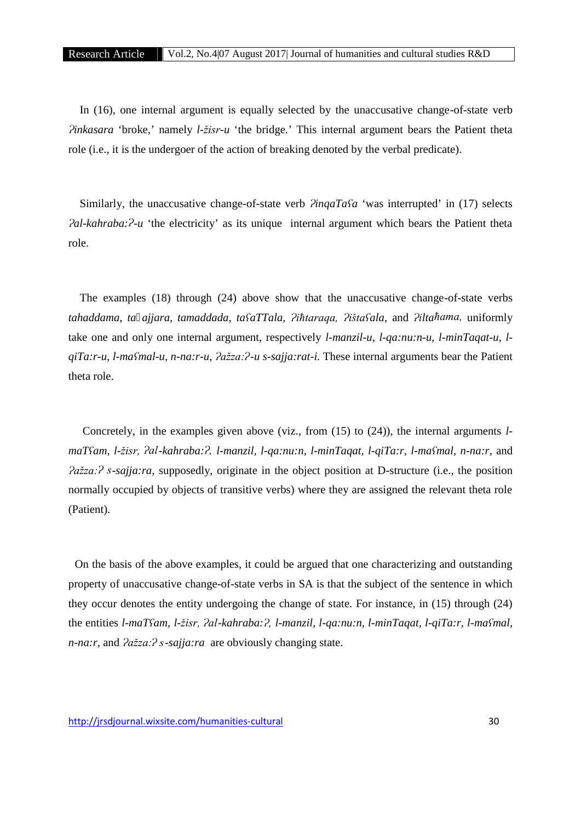In (16), one internal argument is equally selected by the unaccusative change-of-state verb *Ɂinkasara* 'broke,' namely *l-žisr-u* 'the bridge.' This internal argument bears the Patient theta role (i.e., it is the undergoer of the action of breaking denoted by the verbal predicate).

Similarly, the unaccusative change-of-state verb *PinqaTa*<sup>*fa*</sup> 'was interrupted' in (17) selects *Pal-kahraba:* $^2$ *-u* 'the electricity' as its unique internal argument which bears the Patient theta role.

The examples (18) through (24) above show that the unaccusative change-of-state verbs *tahaddama, ta ajjara, tamaddada, taʕaTTala, Ɂiħtaraqa, Ɂištaʕala,* and *Ɂiltaħama,* uniformly take one and only one internal argument, respectively *l-manzil-u, l-qa:nu:n-u, l-minTaqat-u, l qiTa:r-u, l-maʕmal-u, n-na:r-u, Ɂažza:Ɂ-u s-sajja:rat-i.* These internal arguments bear the Patient theta role.

Concretely, in the examples given above (viz., from (15) to (24)), the internal arguments *l maTʕam, l-žisr, Ɂal-kahraba:Ɂ, l-manzil, l-qa:nu:n, l-minTaqat, l-qiTa:r, l-maʕmal, n-na:r,* and *<u>ažza:? s-sajja:ra,*</u> supposedly, originate in the object position at D-structure (i.e., the position normally occupied by objects of transitive verbs) where they are assigned the relevant theta role (Patient).

On the basis of the above examples, it could be argued that one characterizing and outstanding property of unaccusative change-of-state verbs in SA is that the subject of the sentence in which they occur denotes the entity undergoing the change of state. For instance, in (15) through (24) the entities *l-maTʕam, l-žisr, Ɂal-kahraba:Ɂ, l-manzil, l-qa:nu:n, l-minTaqat, l-qiTa:r, l-maʕmal, n-na:r,* and  $2a\overline{z}z$ *a:* $\overline{z}$ *s-sajja:ra* are obviously changing state.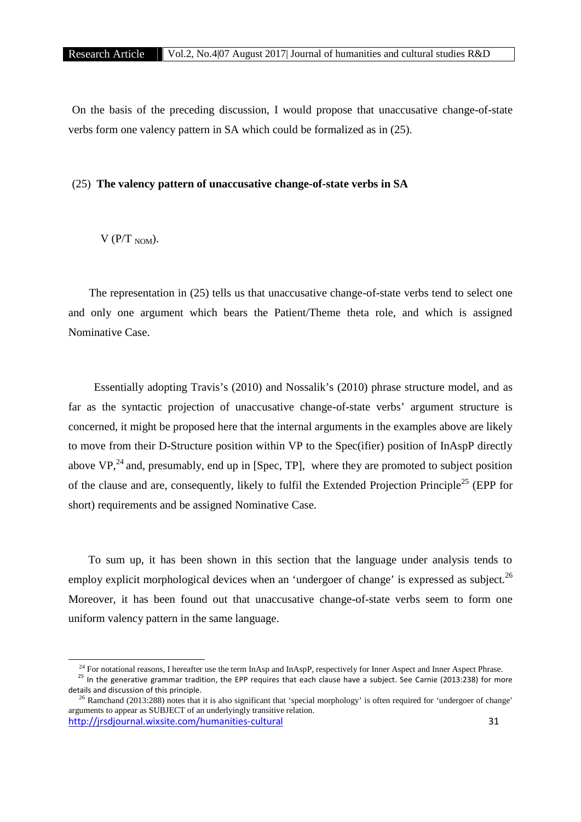On the basis of the preceding discussion, I would propose that unaccusative change-of-state verbs form one valency pattern in SA which could be formalized as in (25).

# (25) **The valency pattern of unaccusative change-of-state verbs in SA**

# $V (P/T)$  NOM).

The representation in (25) tells us that unaccusative change-of-state verbs tend to select one and only one argument which bears the Patient/Theme theta role, and which is assigned Nominative Case.

Essentially adopting Travis's (2010) and Nossalik's (2010) phrase structure model, and as far as the syntactic projection of unaccusative change-of-state verbs' argument structure is concerned, it might be proposed here that the internal arguments in the examples above are likely to move from their D-Structure position within VP to the Spec(ifier) position of InAspP directly above  $VP<sup>24</sup>$  and, presumably, end up in [Spec, TP], where they are promoted to subject position of the clause and are, consequently, likely to fulfil the Extended Projection Principle<sup>25</sup> (EPP for short) requirements and be assigned Nominative Case.

To sum up, it has been shown in this section that the language under analysis tends to employ explicit morphological devices when an 'undergoer of change' is expressed as subject.<sup>26</sup> Moreover, it has been found out that unaccusative change-of-state verbs seem to form one uniform valency pattern in the same language.

<sup>&</sup>lt;sup>24</sup> For notational reasons, I hereafter use the term InAsp and InAspP, respectively for Inner Aspect and Inner Aspect Phrase.<br><sup>25</sup> In the generative grammar tradition, the EPP requires that each clause have a subject. Se details and discussion of this principle.<br><sup>26</sup> Ramchand (2013:288) notes that it is also significant that 'special morphology' is often required for 'undergoer of change'

http://jrsdjournal.wixsite.com/humanities-cultural 31 arguments to appear as SUBJECT of an underlyingly transitive relation.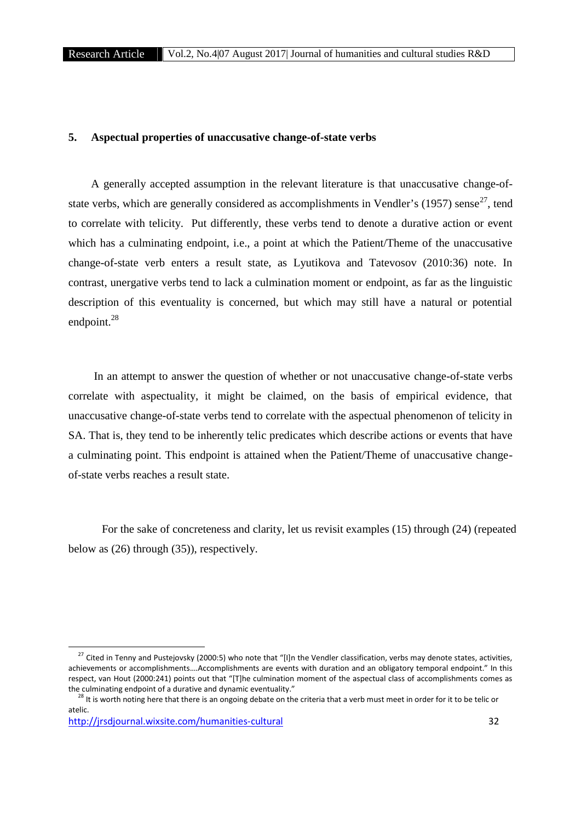# **5. Aspectual properties of unaccusative change-of-state verbs**

A generally accepted assumption in the relevant literature is that unaccusative change-of state verbs, which are generally considered as accomplishments in Vendler's  $(1957)$  sense<sup>27</sup>, tend to correlate with telicity. Put differently, these verbs tend to denote a durative action or event which has a culminating endpoint, i.e., a point at which the Patient/Theme of the unaccusative change-of-state verb enters a result state, as Lyutikova and Tatevosov (2010:36) note. In contrast, unergative verbs tend to lack a culmination moment or endpoint, as far as the linguistic description of this eventuality is concerned, but which may still have a natural or potential endpoint.<sup>28</sup>

In an attempt to answer the question of whether or not unaccusative change-of-state verbs correlate with aspectuality, it might be claimed, on the basis of empirical evidence, that unaccusative change-of-state verbs tend to correlate with the aspectual phenomenon of telicity in SA. That is, they tend to be inherently telic predicates which describe actions or events that have a culminating point. This endpoint is attained when the Patient/Theme of unaccusative change of-state verbs reaches a result state.

For the sake of concreteness and clarity, let us revisit examples (15) through (24) (repeated below as (26) through (35)), respectively.

<sup>&</sup>lt;sup>27</sup> Cited in Tenny and Pustejovsky (2000:5) who note that "[I]n the Vendler classification, verbs may denote states, activities, achievements or accomplishments….Accomplishments are events with duration and an obligatory temporal endpoint." In this respect, van Hout (2000:241) points out that "[T]he culmination moment of the aspectual class of accomplishments comes as the culminating endpoint of a durative and dynamic eventuality."

<sup>&</sup>lt;sup>28</sup> It is worth noting here that there is an ongoing debate on the criteria that a verb must meet in order for it to be telic or atelic.

http://jrsdjournal.wixsite.com/humanities-cultural 32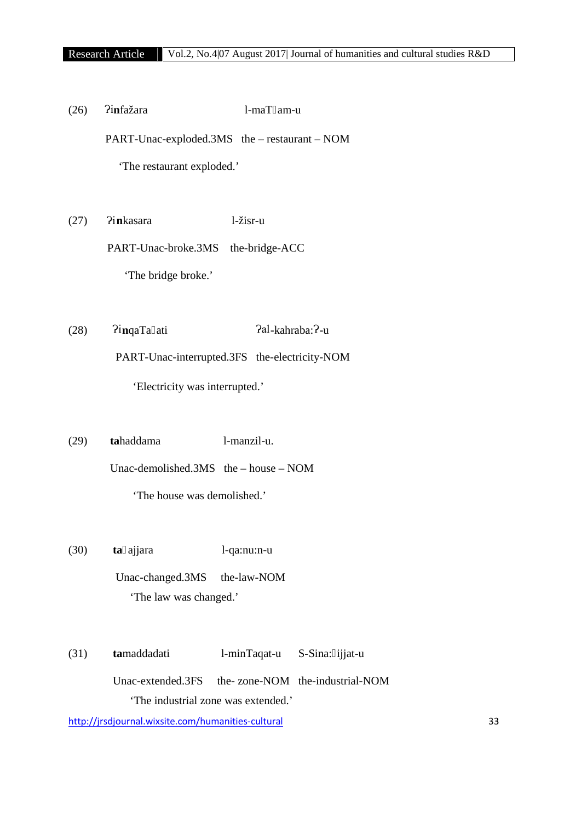(26) Ɂi**n**fažara l-maT am-u PART-Unac-exploded.3MS the – restaurant – NOM 'The restaurant exploded.'

(27) Ɂi**n**kasara l-žisr-u

PART-Unac-broke.3MS the-bridge-ACC

'The bridge broke.'

- (28)  $\widehat{q}_i$ inqaTa ati  $\widehat{q}_i$ al-kahraba:?-u PART-Unac-interrupted.3FS the-electricity-NOM 'Electricity was interrupted.'
- (29) **ta**haddama l-manzil-u. Unac-demolished.3MS the – house – NOM 'The house was demolished.'
- (30) **ta** ajjara l-qa:nu:n-u Unac-changed.3MS the-law-NOM 'The law was changed.'
- (31) **ta**maddadati l-minTaqat-u S-Sina: ijjat-u Unac-extended.3FS the-zone-NOM the-industrial-NOM 'The industrial zone was extended.'

http://jrsdjournal.wixsite.com/humanities-cultural 33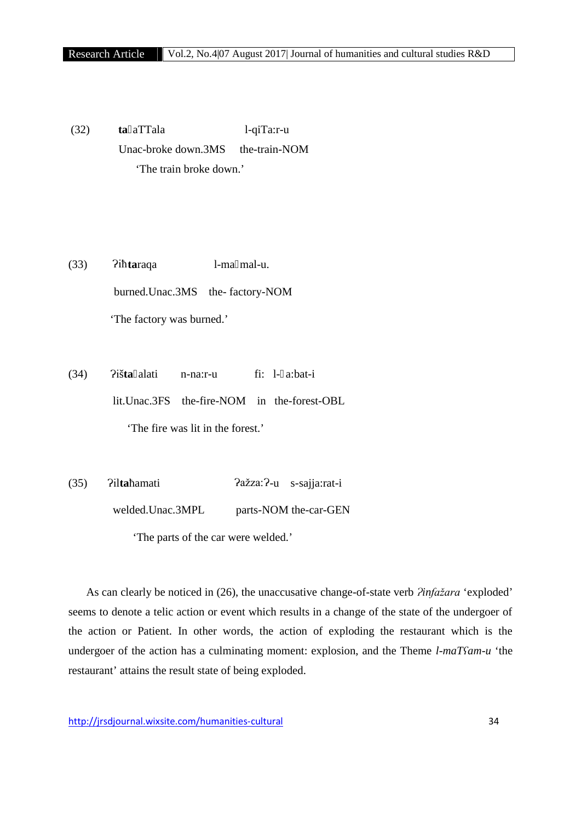(32) **ta** aTTala l-qiTa:r-u Unac-broke down.3MS the-train-NOM 'The train broke down.'

(33) Ɂiħ**ta**raqa l-ma mal-u. burned.Unac.3MS the-factory-NOM 'The factory was burned.'

(34) Ɂiš**ta** alati n-na:r-u fi: l- a:bat-i lit.Unac.3FS the-fire-NOM in the-forest-OBL 'The fire was lit in the forest.'

(35) Ɂil**ta**ħamati Ɂažza:Ɂ-u s-sajja:rat-i welded.Unac.3MPL parts-NOM the-car-GEN 'The parts of the car were welded.'

As can clearly be noticed in (26), the unaccusative change-of-state verb  $\lambda$ *infažara* 'exploded' seems to denote a telic action or event which results in a change of the state of the undergoer of the action or Patient. In other words, the action of exploding the restaurant which is the undergoer of the action has a culminating moment: explosion, and the Theme *l-maT<sup><i>cam-u*</sup> 'the</sub> restaurant' attains the result state of being exploded.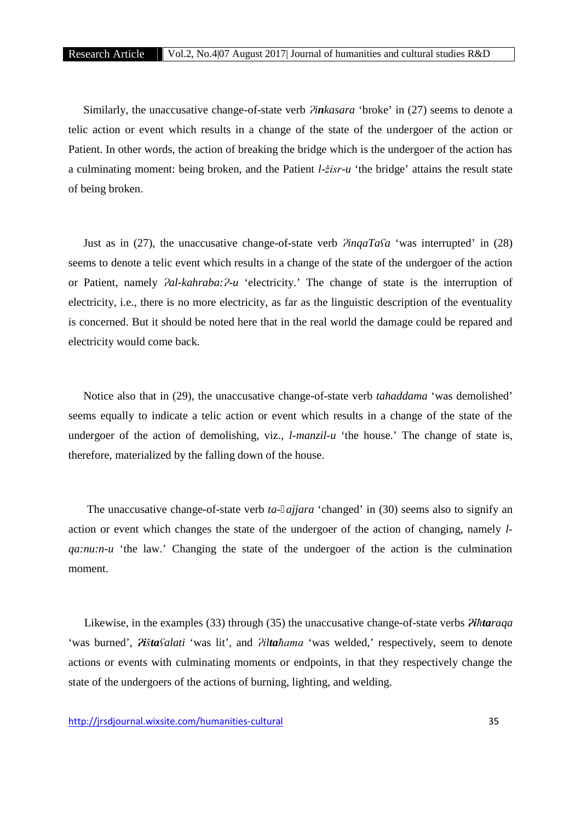Similarly, the unaccusative change-of-state verb *Pinkasara* 'broke' in (27) seems to denote a telic action or event which results in a change of the state of the undergoer of the action or Patient. In other words, the action of breaking the bridge which is the undergoer of the action has a culminating moment: being broken, and the Patient *l-žisr-u* 'the bridge' attains the result state of being broken.

Just as in (27), the unaccusative change-of-state verb *ɁinqaTaʕa* 'was interrupted' in (28) seems to denote a telic event which results in a change of the state of the undergoer of the action or Patient, namely *Pal-kahraba:P-u* 'electricity.' The change of state is the interruption of electricity, i.e., there is no more electricity, as far as the linguistic description of the eventuality is concerned. But it should be noted here that in the real world the damage could be repared and electricity would come back.

Notice also that in (29), the unaccusative change-of-state verb *tahaddama* 'was demolished' seems equally to indicate a telic action or event which results in a change of the state of the undergoer of the action of demolishing, viz., *l-manzil-u* 'the house.' The change of state is, therefore, materialized by the falling down of the house.

The unaccusative change-of-state verb *ta- ajjara* 'changed' in (30) seems also to signify an action or event which changes the state of the undergoer of the action of changing, namely *l qa:nu:n-u* 'the law.' Changing the state of the undergoer of the action is the culmination moment.

Likewise, in the examples (33) through (35) the unaccusative change-of-state verbs *Ɂiħtaraqa* 'was burned', *Ɂištaʕalati* 'was lit', and *Ɂiltaħama* 'was welded,' respectively, seem to denote actions or events with culminating moments or endpoints, in that they respectively change the state of the undergoers of the actions of burning, lighting, and welding.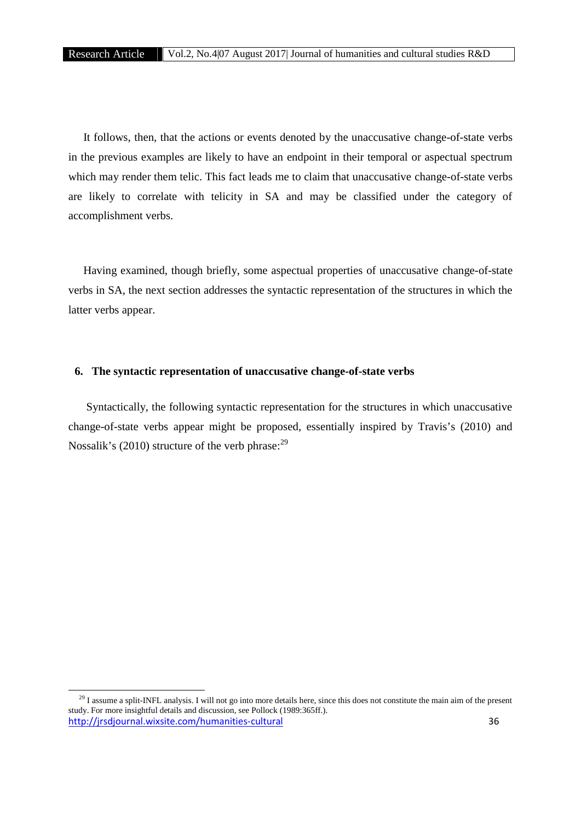It follows, then, that the actions or events denoted by the unaccusative change-of-state verbs in the previous examples are likely to have an endpoint in their temporal or aspectual spectrum which may render them telic. This fact leads me to claim that unaccusative change-of-state verbs are likely to correlate with telicity in SA and may be classified under the category of accomplishment verbs.

Having examined, though briefly, some aspectual properties of unaccusative change-of-state verbs in SA, the next section addresses the syntactic representation of the structures in which the latter verbs appear.

# **6. The syntactic representation of unaccusative change-of-state verbs**

Syntactically, the following syntactic representation for the structures in which unaccusative change-of-state verbs appear might be proposed, essentially inspired by Travis's (2010) and Nossalik's (2010) structure of the verb phrase: $^{29}$ 

http://jrsdjournal.wixsite.com/humanities-cultural 36 <sup>29</sup> I assume a split-INFL analysis. I will not go into more details here, since this does not constitute the main aim of the present study. For more insightful details and discussion, see Pollock (1989:365ff.).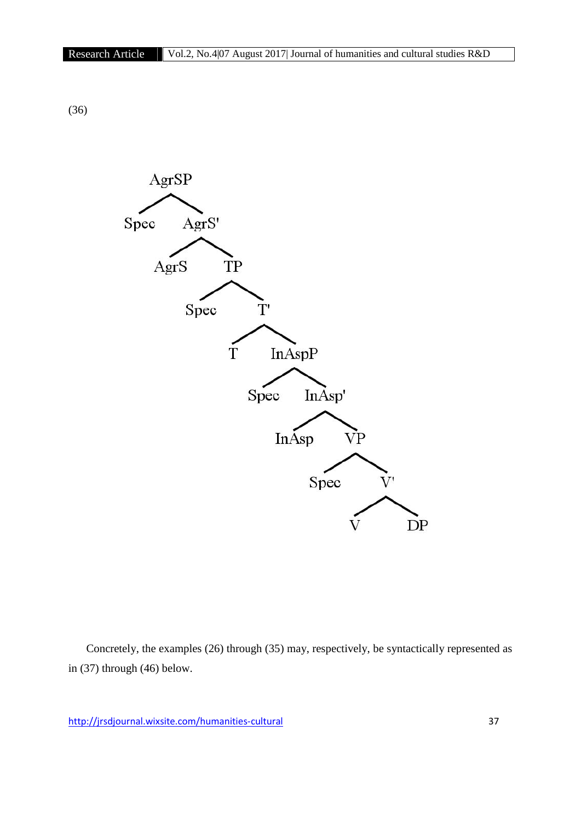(36)



Concretely, the examples (26) through (35) may, respectively, be syntactically represented as in (37) through (46) below.

http://jrsdjournal.wixsite.com/humanities-cultural 37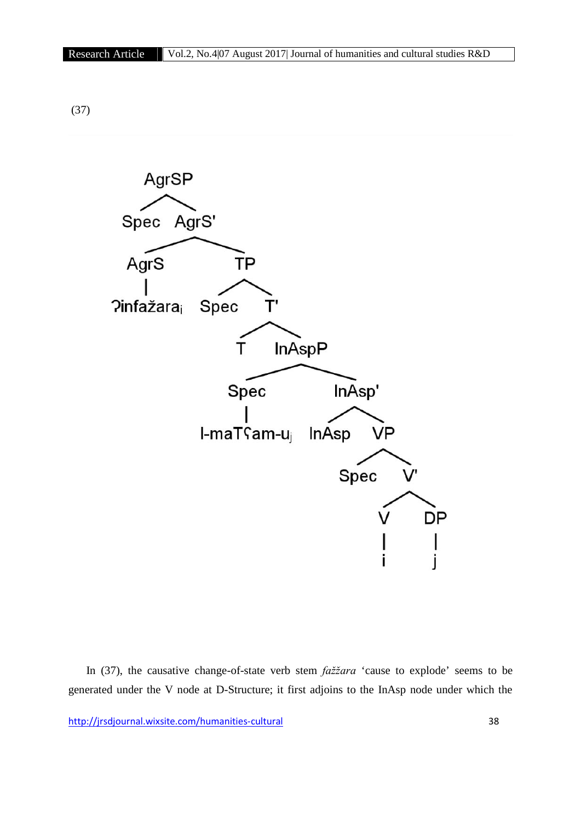

In (37), the causative change-of-state verb stem *fažžara* 'cause to explode' seems to be generated under the V node at D-Structure; it first adjoins to the InAsp node under which the

http://jrsdjournal.wixsite.com/humanities-cultural 38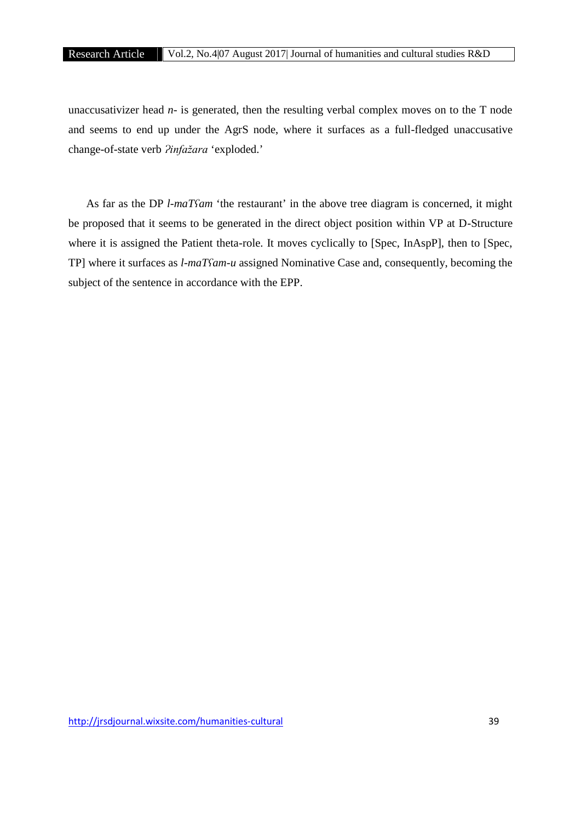unaccusativizer head *n-* is generated, then the resulting verbal complex moves on to the T node and seems to end up under the AgrS node, where it surfaces as a full-fledged unaccusative change-of-state verb *?infažara* 'exploded.'

As far as the DP *l-maTʕam* 'the restaurant' in the above tree diagram is concerned, it might be proposed that it seems to be generated in the direct object position within VP at D-Structure where it is assigned the Patient theta-role. It moves cyclically to [Spec, InAspP], then to [Spec, TP] where it surfaces as *l-maTʕam-u* assigned Nominative Case and, consequently, becoming the subject of the sentence in accordance with the EPP.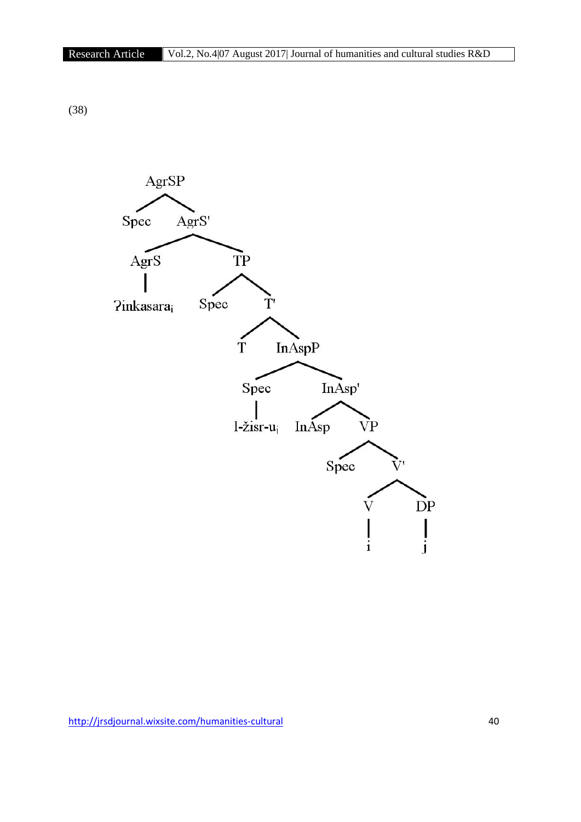(38)

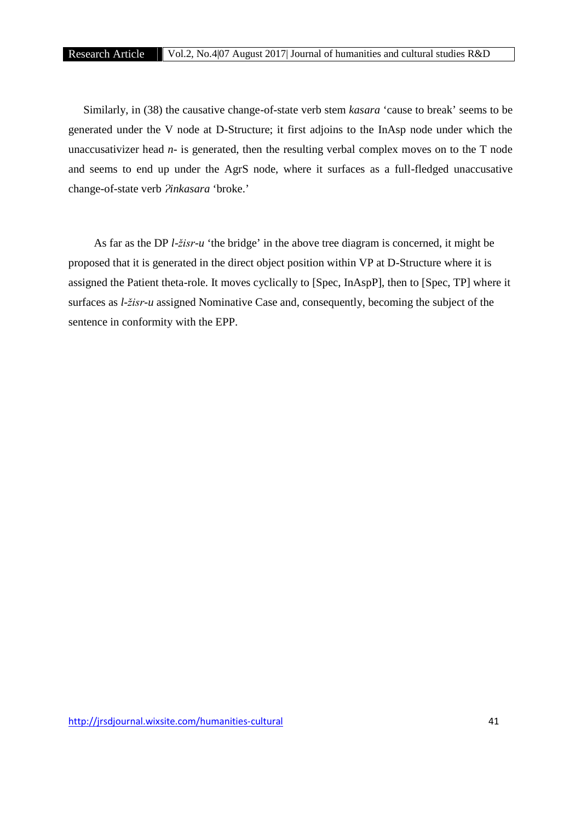Similarly, in (38) the causative change-of-state verb stem *kasara* 'cause to break' seems to be generated under the V node at D-Structure; it first adjoins to the InAsp node under which the unaccusativizer head *n-* is generated, then the resulting verbal complex moves on to the T node and seems to end up under the AgrS node, where it surfaces as a full-fledged unaccusative change-of-state verb *Ɂinkasara* 'broke.'

As far as the DP *l-žisr-u* 'the bridge' in the above tree diagram is concerned, it might be proposed that it is generated in the direct object position within VP at D-Structure where it is assigned the Patient theta-role. It moves cyclically to [Spec, InAspP], then to [Spec, TP] where it surfaces as *l-žisr-u* assigned Nominative Case and, consequently, becoming the subject of the sentence in conformity with the EPP.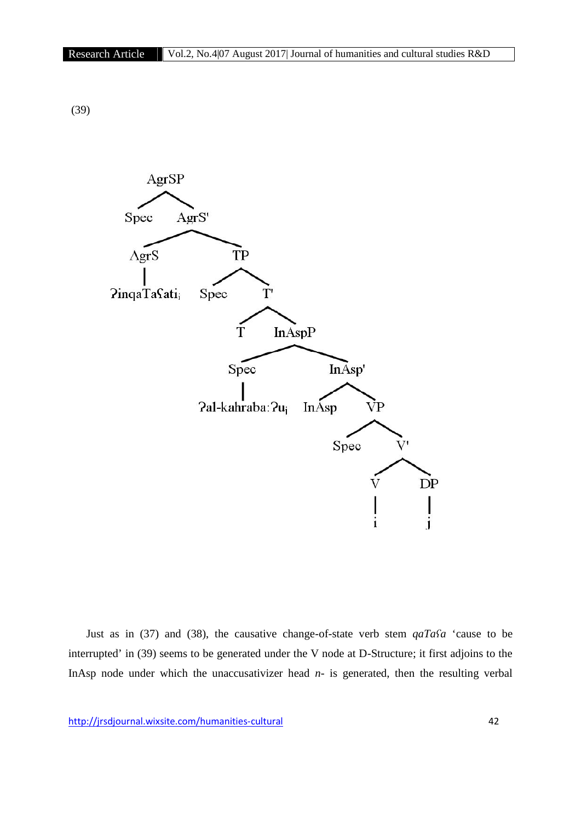(39)



Just as in (37) and (38), the causative change-of-state verb stem *qaTaʕa* 'cause to be interrupted' in (39) seems to be generated under the V node at D-Structure; it first adjoins to the InAsp node under which the unaccusativizer head *n-*is generated, then the resulting verbal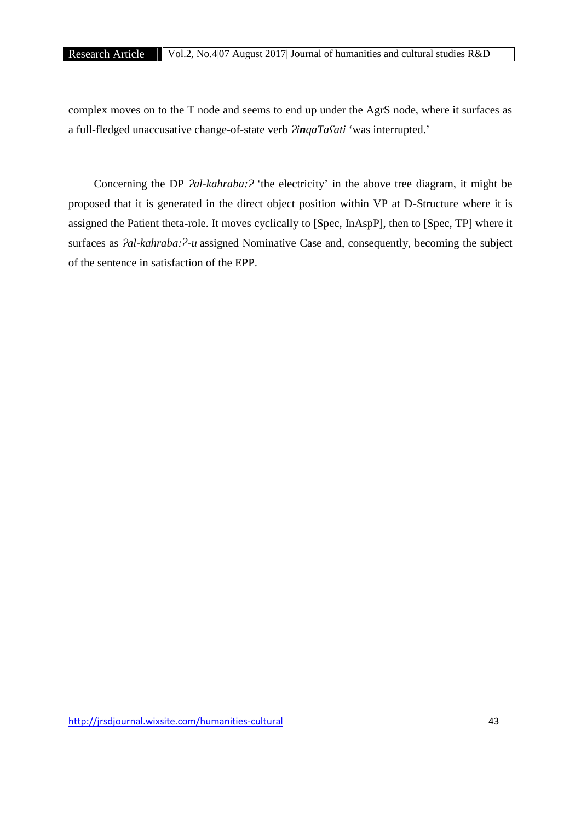complex moves on to the T node and seems to end up under the AgrS node, where it surfaces as a full-fledged unaccusative change-of-state verb *ɁinqaTaʕati* 'was interrupted.'

Concerning the DP  $2$ *al-kahraba:* $2$  'the electricity' in the above tree diagram, it might be proposed that it is generated in the direct object position within VP at D-Structure where it is assigned the Patient theta-role. It moves cyclically to [Spec, InAspP], then to [Spec, TP] where it surfaces as *Pal-kahraba:<sup>P</sup>-u* assigned Nominative Case and, consequently, becoming the subject of the sentence in satisfaction of the EPP.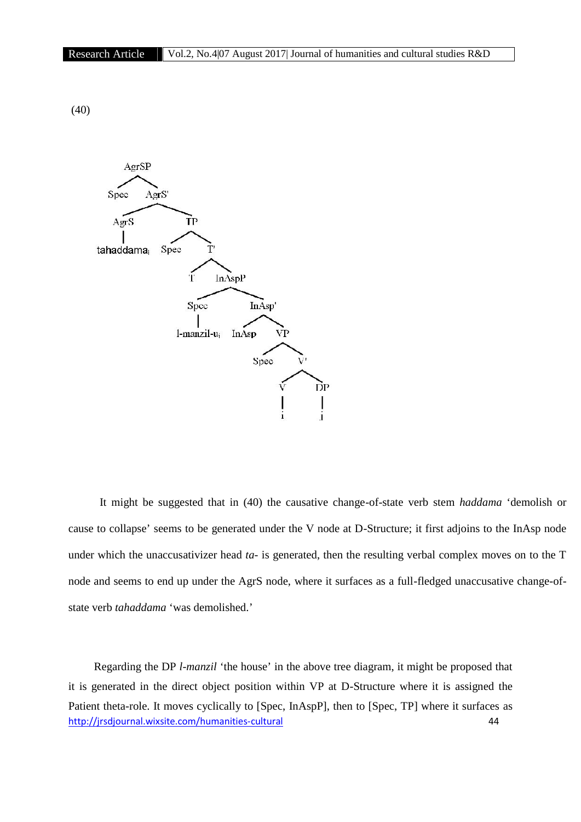(40)



It might be suggested that in (40) the causative change-of-state verb stem *haddama* 'demolish or cause to collapse' seems to be generated under the V node at D-Structure; it first adjoins to the InAsp node under which the unaccusativizer head *ta-* is generated, then the resulting verbal complex moves on to the T node and seems to end up under the AgrS node, where it surfaces as a full-fledged unaccusative change-of state verb *tahaddama* 'was demolished.'

http://jrsdjournal.wixsite.com/humanities-cultural 44 Regarding the DP *l-manzil* 'the house' in the above tree diagram, it might be proposed that it is generated in the direct object position within VP at D-Structure where it is assigned the Patient theta-role. It moves cyclically to [Spec, InAspP], then to [Spec, TP] where it surfaces as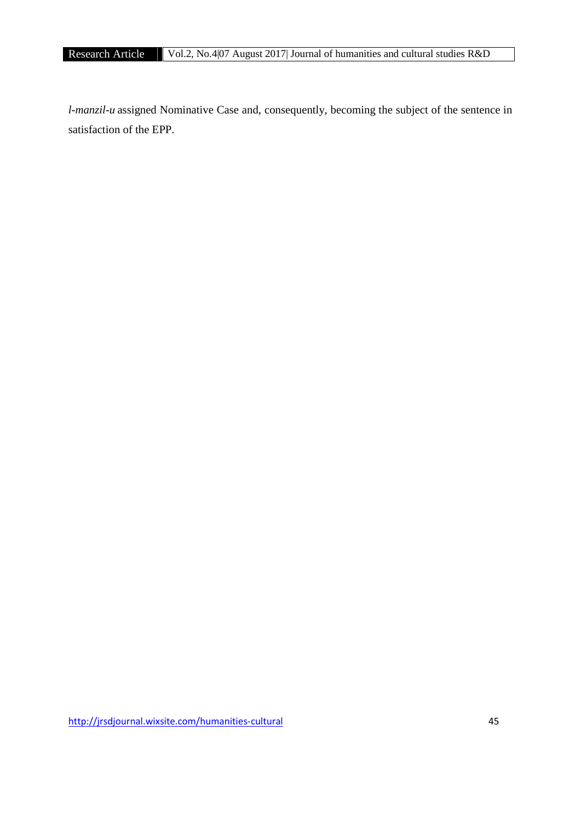*l-manzil-u* assigned Nominative Case and, consequently, becoming the subject of the sentence in satisfaction of the EPP.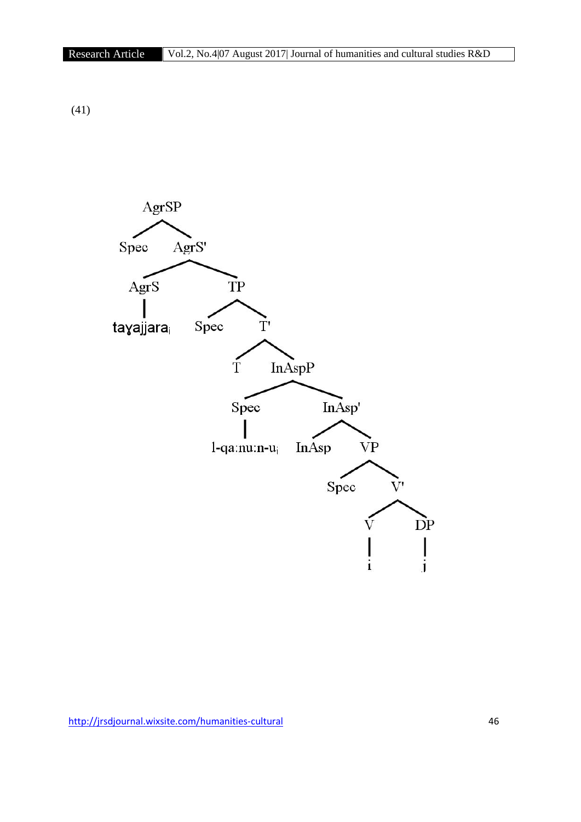(41)

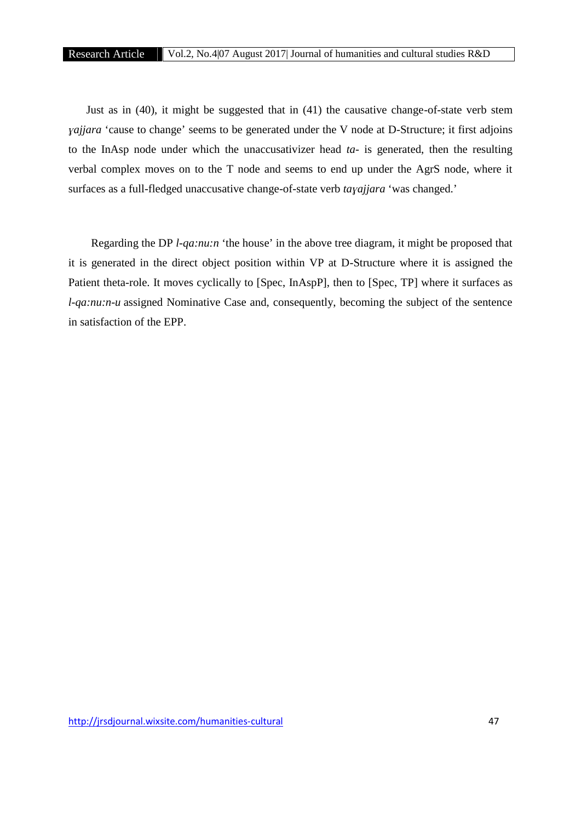Just as in (40), it might be suggested that in (41) the causative change-of-state verb stem *ɣajjara* 'cause to change' seems to be generated under the V node at D-Structure; it first adjoins to the InAsp node under which the unaccusativizer head *ta-* is generated, then the resulting verbal complex moves on to the T node and seems to end up under the AgrS node, where it surfaces as a full-fledged unaccusative change-of-state verb *taɣajjara* 'was changed.'

Regarding the DP *l-qa:nu:n* 'the house' in the above tree diagram, it might be proposed that it is generated in the direct object position within VP at D-Structure where it is assigned the Patient theta-role. It moves cyclically to [Spec, InAspP], then to [Spec, TP] where it surfaces as *l*-qa:nu:n-u assigned Nominative Case and, consequently, becoming the subject of the sentence in satisfaction of the EPP.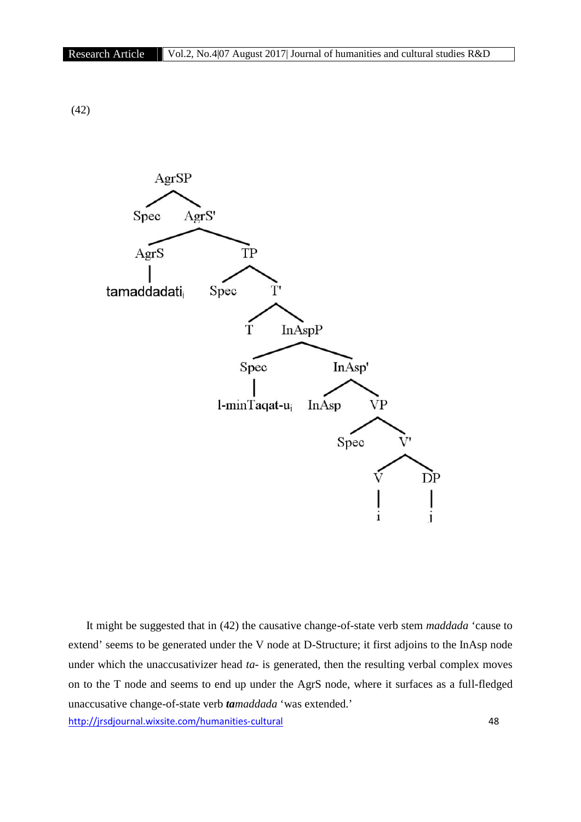(42)



http://jrsdjournal.wixsite.com/humanities-cultural 48 It might be suggested that in (42) the causative change-of-state verb stem *maddada* 'cause to extend' seems to be generated under the V node at D-Structure; it first adjoins to the InAsp node under which the unaccusativizer head *ta-* is generated, then the resulting verbal complex moves on to the T node and seems to end up under the AgrS node, where it surfaces as a full-fledged unaccusative change-of-state verb *tamaddada* 'was extended.'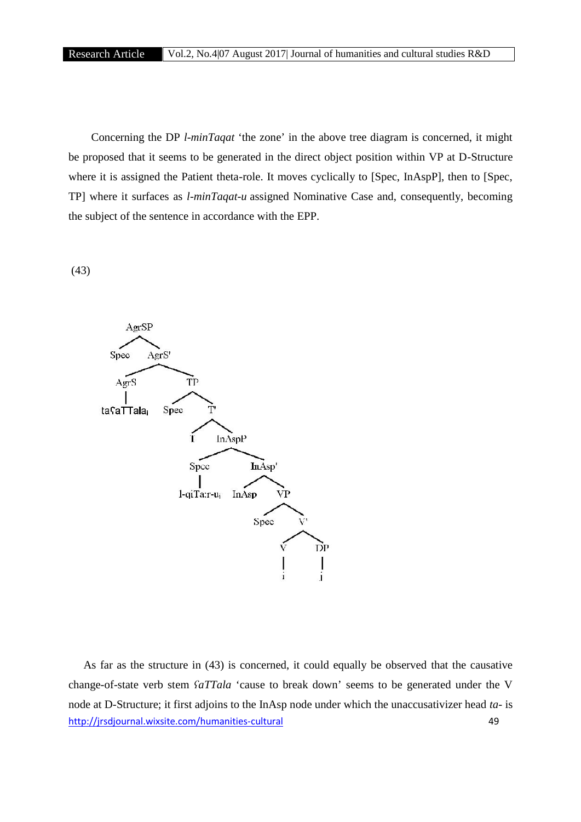Concerning the DP *l-minTaqat* 'the zone' in the above tree diagram is concerned, it might be proposed that it seems to be generated in the direct object position within VP at D-Structure where it is assigned the Patient theta-role. It moves cyclically to [Spec, InAspP], then to [Spec, TP] where it surfaces as *l-minTaqat-u* assigned Nominative Case and, consequently, becoming the subject of the sentence in accordance with the EPP.

(43)



http://jrsdjournal.wixsite.com/humanities-cultural 49 As far as the structure in (43) is concerned, it could equally be observed that the causative change-of-state verb stem *ʕaTTala* 'cause to break down' seems to be generated under the V node at D-Structure; it first adjoins to the InAsp node under which the unaccusativizer head *ta-* is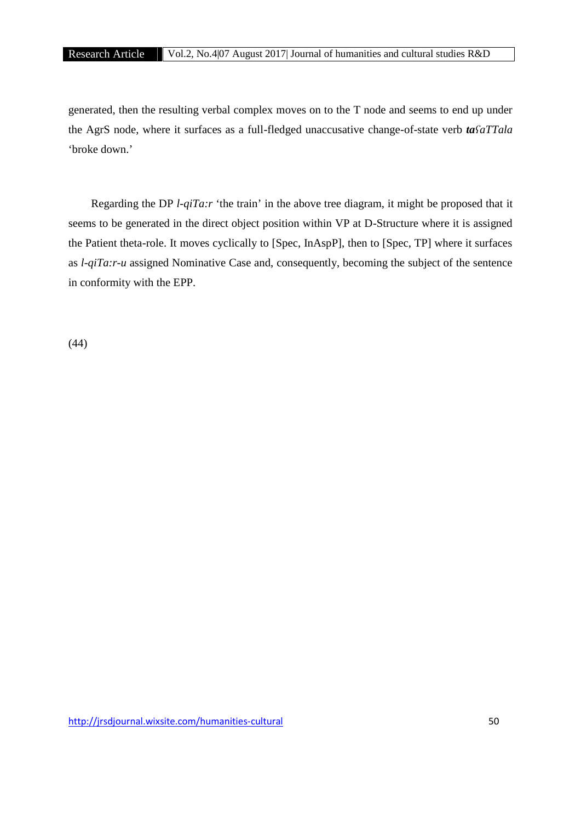generated, then the resulting verbal complex moves on to the T node and seems to end up under the AgrS node, where it surfaces as a full-fledged unaccusative change-of-state verb *taʕaTTala* 'broke down.'

Regarding the DP *l-qiTa:r* 'the train' in the above tree diagram, it might be proposed that it seems to be generated in the direct object position within VP at D-Structure where it is assigned the Patient theta-role. It moves cyclically to [Spec, InAspP], then to [Spec, TP] where it surfaces as *l-qiTa:r-u* assigned Nominative Case and, consequently, becoming the subject of the sentence in conformity with the EPP.

(44)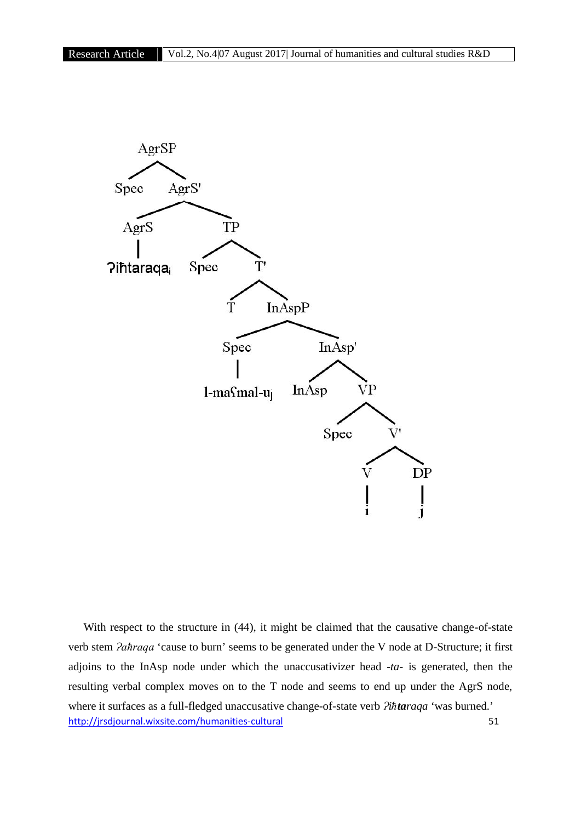

http://jrsdjournal.wixsite.com/humanities-cultural 51 With respect to the structure in (44), it might be claimed that the causative change-of-state verb stem *Paħraqa* 'cause to burn' seems to be generated under the V node at D-Structure; it first adjoins to the InAsp node under which the unaccusativizer head -*ta-* is generated, then the resulting verbal complex moves on to the T node and seems to end up under the AgrS node, where it surfaces as a full-fledged unaccusative change-of-state verb  $\partial$ *ihtaraqa* 'was burned.'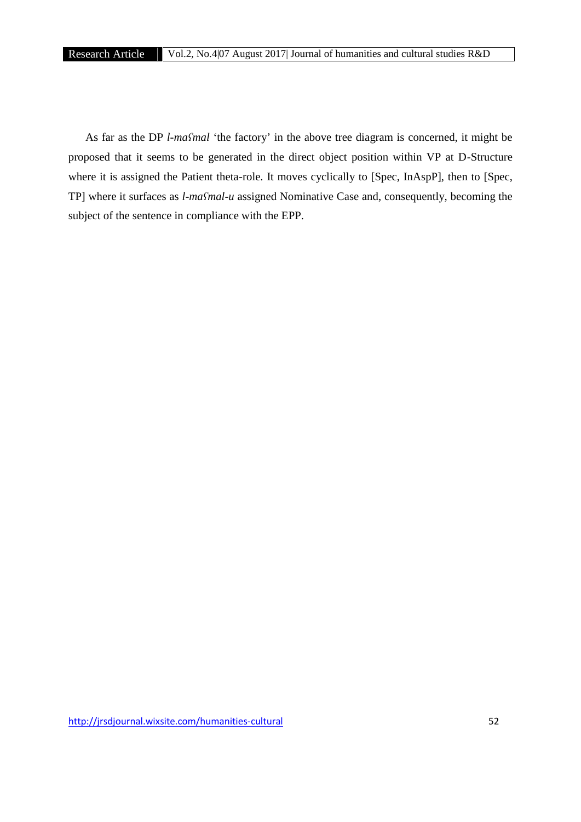As far as the DP *l-maʕmal* 'the factory' in the above tree diagram is concerned, it might be proposed that it seems to be generated in the direct object position within VP at D-Structure where it is assigned the Patient theta-role. It moves cyclically to [Spec, InAspP], then to [Spec, TP] where it surfaces as *l-maʕmal-u* assigned Nominative Case and, consequently, becoming the subject of the sentence in compliance with the EPP.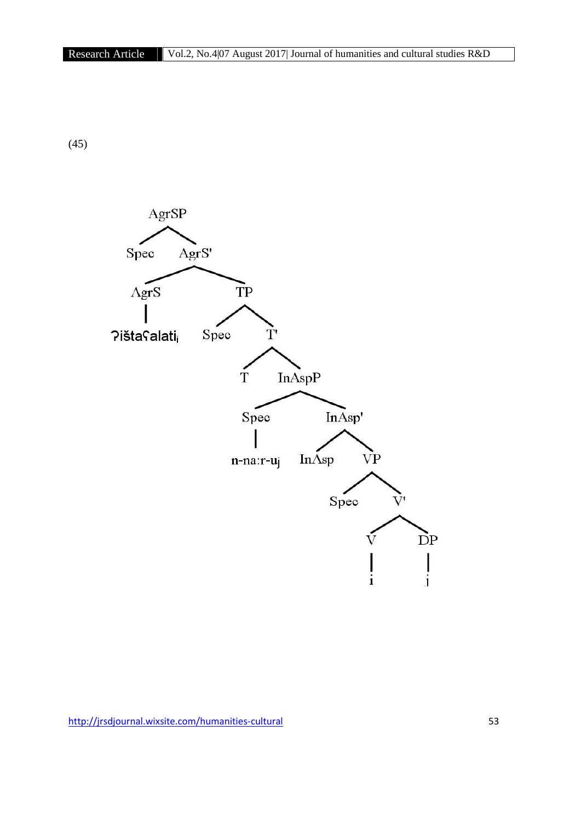(45)

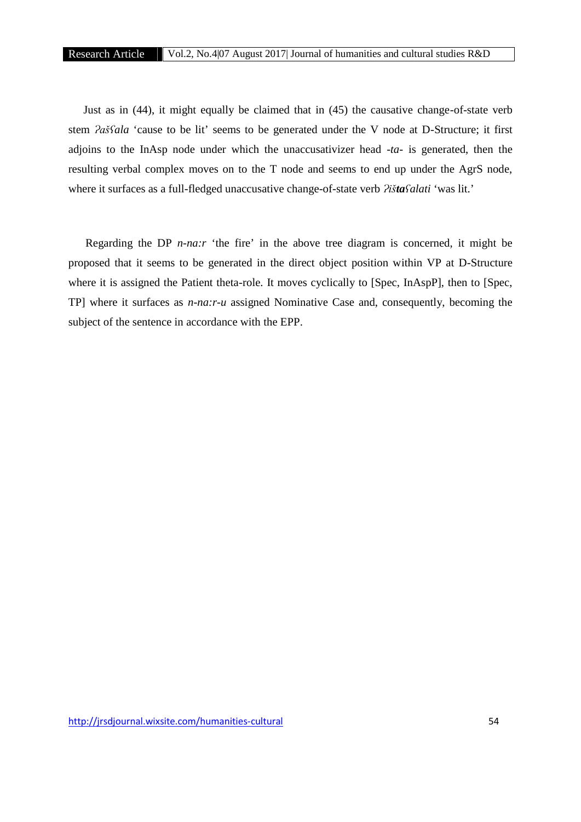Just as in (44), it might equally be claimed that in (45) the causative change-of-state verb stem *Pašfala* 'cause to be lit' seems to be generated under the V node at D-Structure; it first adjoins to the InAsp node under which the unaccusativizer head -*ta-* is generated, then the resulting verbal complex moves on to the T node and seems to end up under the AgrS node, where it surfaces as a full-fledged unaccusative change-of-state verb  $\frac{\partial \hat{f}}{\partial t}$ *ista* $\hat{f}$ *alati* 'was lit.'

Regarding the DP *n-na:r* 'the fire' in the above tree diagram is concerned, it might be proposed that it seems to be generated in the direct object position within VP at D-Structure where it is assigned the Patient theta-role. It moves cyclically to [Spec, InAspP], then to [Spec, TP] where it surfaces as *n-na:r-u* assigned Nominative Case and, consequently, becoming the subject of the sentence in accordance with the EPP.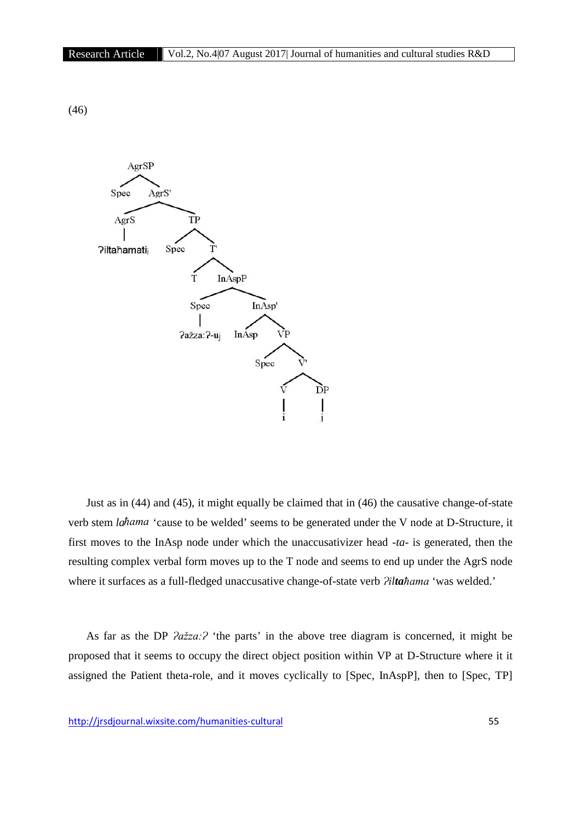(46)



Just as in (44) and (45), it might equally be claimed that in (46) the causative change-of-state verb stem *laħama* 'cause to be welded' seems to be generated under the V node at D-Structure, it first moves to the InAsp node under which the unaccusativizer head -*ta-* is generated, then the resulting complex verbal form moves up to the T node and seems to end up under the AgrS node where it surfaces as a full-fledged unaccusative change-of-state verb  $Piltahama$  'was welded.'

As far as the DP  $2a\bar{z}za$ : <sup>2</sup> 'the parts' in the above tree diagram is concerned, it might be proposed that it seems to occupy the direct object position within VP at D-Structure where it it assigned the Patient theta-role, and it moves cyclically to [Spec, InAspP], then to [Spec, TP]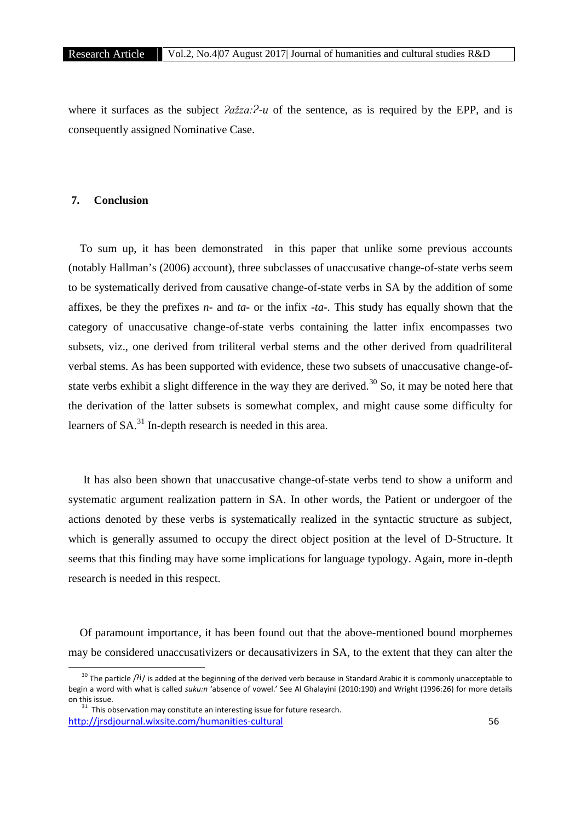where it surfaces as the subject  $2a\ddot{z}za$ : $\dot{z}$ -*u* of the sentence, as is required by the EPP, and is consequently assigned Nominative Case.

# **7. Conclusion**

To sum up, it has been demonstrated in this paper that unlike some previous accounts (notably Hallman's (2006) account), three subclasses of unaccusative change-of-state verbs seem to be systematically derived from causative change-of-state verbs in SA by the addition of some affixes, be they the prefixes *n-* and *ta-* or the infix -*ta-.* This study has equally shown that the category of unaccusative change-of-state verbs containing the latter infix encompasses two subsets, viz., one derived from triliteral verbal stems and the other derived from quadriliteral verbal stems. As has been supported with evidence, these two subsets of unaccusative change-of state verbs exhibit a slight difference in the way they are derived.<sup>30</sup> So, it may be noted here that the derivation of the latter subsets is somewhat complex, and might cause some difficulty for learners of SA.<sup>31</sup> In-depth research is needed in this area.

It has also been shown that unaccusative change-of-state verbs tend to show a uniform and systematic argument realization pattern in SA. In other words, the Patient or undergoer of the actions denoted by these verbs is systematically realized in the syntactic structure as subject, which is generally assumed to occupy the direct object position at the level of D-Structure. It seems that this finding may have some implications for language typology. Again, more in-depth research is needed in this respect.

Of paramount importance, it has been found out that the above-mentioned bound morphemes may be considered unaccusativizers or decausativizers in SA, to the extent that they can alter the

<sup>&</sup>lt;sup>30</sup> The particle  $\beta$ i/ is added at the beginning of the derived verb because in Standard Arabic it is commonly unacceptable to begin a word with what is called *suku:n* 'absence of vowel.' See Al Ghalayini (2010:190) and Wright (1996:26) for more details

http://jrsdjournal.wixsite.com/humanities-cultural 56  $31$  This observation may constitute an interesting issue for future research.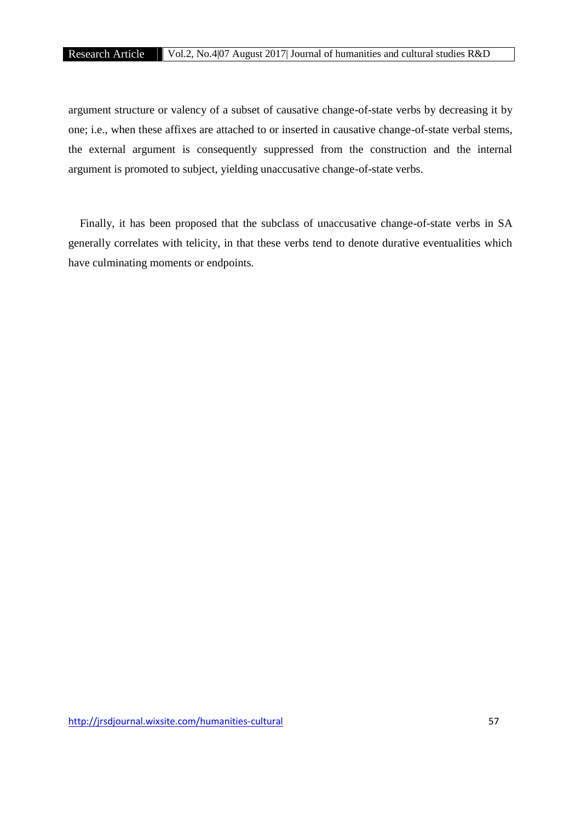argument structure or valency of a subset of causative change-of-state verbs by decreasing it by one; i.e., when these affixes are attached to or inserted in causative change-of-state verbal stems, the external argument is consequently suppressed from the construction and the internal argument is promoted to subject, yielding unaccusative change-of-state verbs.

Finally, it has been proposed that the subclass of unaccusative change-of-state verbs in SA generally correlates with telicity, in that these verbs tend to denote durative eventualities which have culminating moments or endpoints.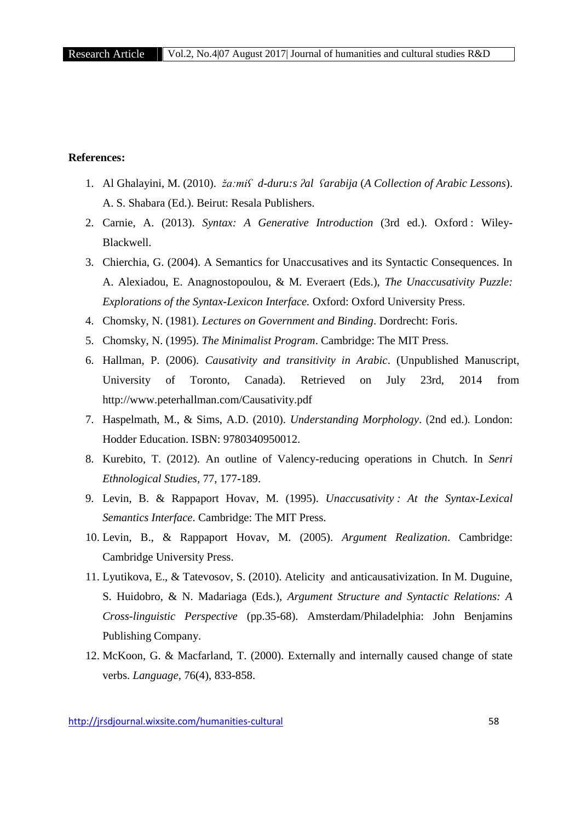# **References:**

- 1. Al Ghalayini, M. (2010). *ža:miʕ d-duru:s ʔal ʕarabija* (*A Collection of Arabic Lessons*). A. S. Shabara (Ed.). Beirut: Resala Publishers.
- 2. Carnie, A. (2013). *Syntax: A Generative Introduction* (3rd ed.). Oxford : Wiley- Blackwell.
- 3. Chierchia, G. (2004). A Semantics for Unaccusatives and its Syntactic Consequences. In A. Alexiadou, E. Anagnostopoulou, & M. Everaert (Eds.), *The Unaccusativity Puzzle: Explorations of the Syntax-Lexicon Interface.* Oxford: Oxford University Press.
- 4. Chomsky, N. (1981). *Lectures on Government and Binding*. Dordrecht: Foris.
- 5. Chomsky, N. (1995). *The Minimalist Program*. Cambridge: The MIT Press.
- 6. Hallman, P. (2006). *Causativity and transitivity in Arabic*. (Unpublished Manuscript, University of Toronto, Canada). Retrieved on July 23rd, 2014 from http://www.peterhallman.com/Causativity.pdf
- 7. Haspelmath, M., & Sims, A.D. (2010). *Understanding Morphology*. (2nd ed.). London: Hodder Education. ISBN: 9780340950012.
- 8. Kurebito, T. (2012). An outline of Valency-reducing operations in Chutch. In *Senri Ethnological Studies,* 77, 177-189.
- 9. Levin, B. & Rappaport Hovav, M. (1995). *Unaccusativity : At the Syntax-Lexical Semantics Interface*. Cambridge: The MIT Press.
- 10. Levin, B., & Rappaport Hovav, M. (2005). *Argument Realization*. Cambridge: Cambridge University Press.
- 11. Lyutikova, E., & Tatevosov, S. (2010). Atelicity and anticausativization. In M. Duguine, S. Huidobro, & N. Madariaga (Eds.), *Argument Structure and Syntactic Relations: A Cross-linguistic Perspective* (pp.35-68). Amsterdam/Philadelphia: John Benjamins Publishing Company.
- 12. McKoon, G. & Macfarland, T. (2000). Externally and internally caused change of state verbs. *Language,* 76(4), 833-858.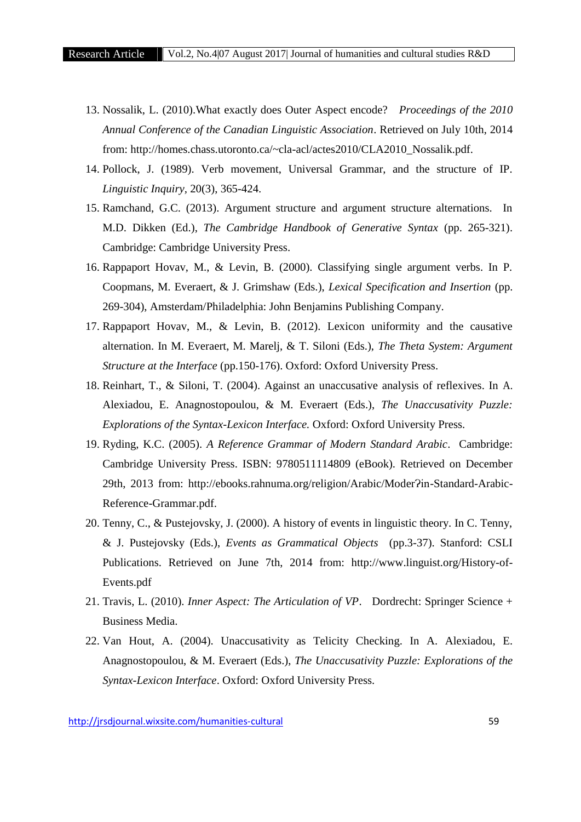- 13. Nossalik, L. (2010).What exactly does Outer Aspect encode? *Proceedings of the 2010 Annual Conference of the Canadian Linguistic Association*. Retrieved on July 10th, 2014 from: http://homes.chass.utoronto.ca/~cla-acl/actes2010/CLA2010\_Nossalik.pdf.
- 14. Pollock, J. (1989). Verb movement, Universal Grammar, and the structure of IP. *Linguistic Inquiry,* 20(3), 365-424.
- 15. Ramchand, G.C. (2013). Argument structure and argument structure alternations. In M.D. Dikken (Ed.), *The Cambridge Handbook of Generative Syntax* (pp. 265-321). Cambridge: Cambridge University Press.
- 16. Rappaport Hovav, M., & Levin, B. (2000). Classifying single argument verbs. In P. Coopmans, M. Everaert, & J. Grimshaw (Eds.), *Lexical Specification and Insertion* (pp. 269-304), Amsterdam/Philadelphia: John Benjamins Publishing Company.
- 17. Rappaport Hovav, M., & Levin, B. (2012). Lexicon uniformity and the causative alternation. In M. Everaert, M. Marelj, & T. Siloni (Eds.), *The Theta System: Argument Structure at the Interface* (pp.150-176). Oxford: Oxford University Press.
- 18. Reinhart, T., & Siloni, T. (2004). Against an unaccusative analysis of reflexives. In A. Alexiadou, E. Anagnostopoulou, & M. Everaert (Eds.), *The Unaccusativity Puzzle: Explorations of the Syntax-Lexicon Interface.* Oxford: Oxford University Press.
- 19. Ryding, K.C. (2005). *A Reference Grammar of Modern Standard Arabic*. Cambridge: Cambridge University Press. ISBN: 9780511114809 (eBook). Retrieved on December 29th, 2013 from: http://ebooks.rahnuma.org/religion/Arabic/Moder?in-Standard-Arabic-Reference-Grammar.pdf.
- 20. Tenny, C., & Pustejovsky, J. (2000). A history of events in linguistic theory. In C. Tenny, & J. Pustejovsky (Eds.), *Events as Grammatical Objects* (pp.3-37). Stanford: CSLI Publications. Retrieved on June 7th, 2014 from: http://www.linguist.org/History-of- Events.pdf
- 21. Travis, L. (2010). *Inner Aspect: The Articulation of VP*. Dordrecht: Springer Science + Business Media.
- 22. Van Hout, A. (2004). Unaccusativity as Telicity Checking. In A. Alexiadou, E. Anagnostopoulou, & M. Everaert (Eds.), *The Unaccusativity Puzzle: Explorations of the Syntax-Lexicon Interface*. Oxford: Oxford University Press.

http://jrsdjournal.wixsite.com/humanities-cultural 59